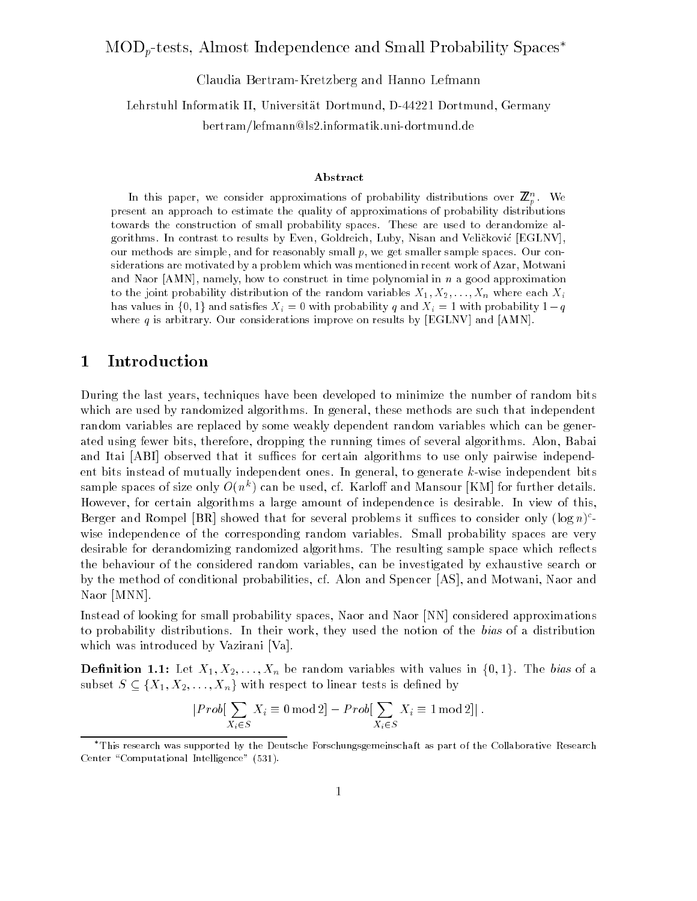#### MODp-tests, Almost Independence and Small Probability Spaces

Claudia Bertram-Kretzberg and Hanno Lefmann Lehrstuhl Informatik II, Universitat Dortmund, D-44221 Dortmund, Germany

bertram/lefmann@ls2.informatik.uni-dortmund.de

#### Abstract

In this paper, we consider approximations of probability distributions over  $\mathbb{Z}_n^{\times}$ . We present an approach to estimate the quality of approximations of probability distributions towards the construction of small probability spaces. These are used to derandomize algorithms. In contrast to results by Even, Goldreich, Luby, Nisan and Velickovic [EGLNV], our methods are simple, and for reasonably small  $p$ , we get smaller sample spaces. Our considerations are motivated by a problem which was mentioned in recent work of Azar, Motwani and Naor  $[AMN]$ , namely, how to construct in time polynomial in n a good approximation to the joint probability distribution of the random variables  $X_1, X_2, \ldots, X_n$  where each  $X_i$ has values in  $\{0,1\}$  and satisfies  $X_i = 0$  with probability q and  $X_i = 1$  with probability  $1 - q$ where  $q$  is arbitrary. Our considerations improve on results by [EGLNV] and [AMN].

## 1 Introduction

During the last years, techniques have been developed to minimize the number of random bits which are used by randomized algorithms. In general, these methods are such that independent random variables are replaced by some weakly dependent random variables which can be generated using fewer bits, therefore, dropping the running times of several algorithms. Alon, Babai and Itai [ABI] observed that it suffices for certain algorithms to use only pairwise independent bits instead of mutually independent ones. In general, to generate k-wise independent bits sample spaces of size only  $O(n\,+\,$  can be used, cf. Karlon and Mansour [KM] for further details. However, for certain algorithms a large amount of independence is desirable. In view of this,  $\beta$  berger and Rompel  $|{\bf D}{\bf R}|$  showed that for several problems it sumces to consider only (log n) wise independence of the corresponding random variables. Small probability spaces are very desirable for derandomizing randomized algorithms. The resulting sample space which reflects the behaviour of the considered random variables, can be investigated by exhaustive search or by the method of conditional probabilities, cf. Alon and Spencer [AS], and Motwani, Naor and Naor [MNN].

Instead of looking for small probability spaces, Naor and Naor [NN] considered approximations to probability distributions. In their work, they used the notion of the bias of a distribution which was introduced by Vazirani [Va].

**Definition 1.1:** Let  $X_1, X_2, \ldots, X_n$  be random variables with values in  $\{0,1\}$ . The bias of a subset  $S \subseteq \{X_1, X_2, \ldots, X_n\}$  with respect to linear tests is defined by

$$
|Prob[\sum_{X_i \in S} X_i \equiv 0 \mod 2] - Prob[\sum_{X_i \in S} X_i \equiv 1 \mod 2]|.
$$

This research was supported by the Deutsche Forschungsgemeinschaft as part of the Collaborative Research Center "Computational Intelligence" (531).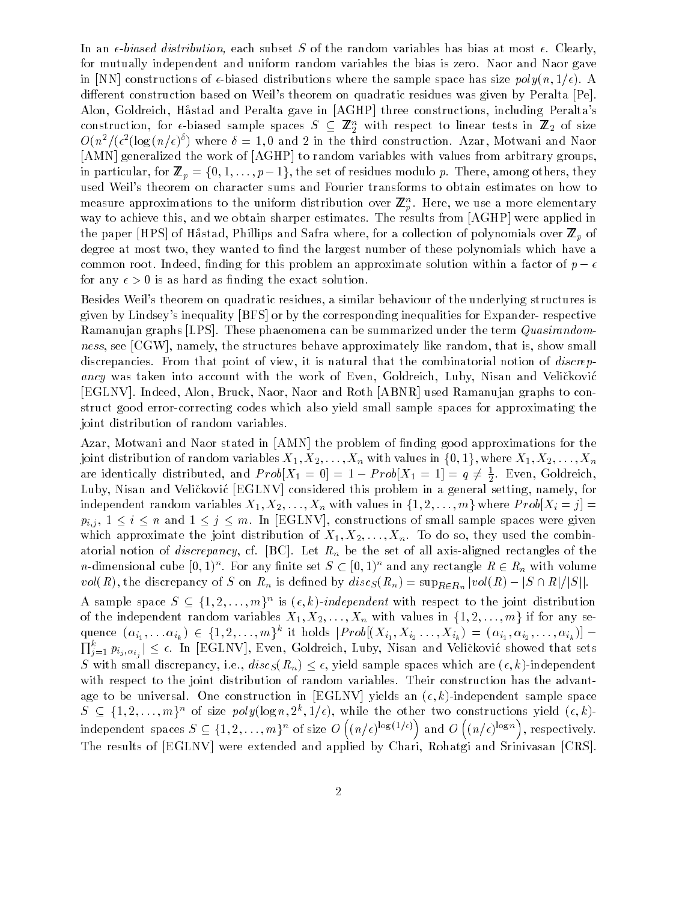In an  $\epsilon$ -biased distribution, each subset S of the random variables has bias at most  $\epsilon$ . Clearly, for mutually independent and uniform random variables the bias is zero. Naor and Naor gave in [NN] constructions of  $\epsilon$ -biased distributions where the sample space has size  $poly(n, 1/\epsilon)$ . A different construction based on Weil's theorem on quadratic residues was given by Peralta [Pe]. Alon, Goldreich, Hastad and Peralta gave in [AGHP] three constructions, including Peralta's construction, for  $\epsilon$ -biased sample spaces  $S \subseteq \mathbb{Z}_2$  with respect to linear tests in  $\mathbb{Z}_2$  of size  $O(n^2/(\epsilon^2(\log(n/\epsilon)^2))$  where  $\ell=1,0$  and 2 in the third construction. Azar, Motwani and Naor [AMN] generalized the work of [AGHP] to random variables with values from arbitrary groups, in particular, for  $p$  and  $p$  is  $p$  if  $p$  ,  $\alpha$  ,  $p$ , the set of residues modulo p. There, among others, they used Weil's theorem on character sums and Fourier transforms to obtain estimates on how to measure approximations to the uniform distribution over  $\mathbb{Z}_p^{\times}$ . Here, we use a more elementary way to achieve this, and we obtain sharper estimates. The results from [AGHP] were applied in the paper [HPS] of Hastad, Phillips and Safra where, for a collection of polynomials over  $\equiv p$  or degree at most two, they wanted to find the largest number of these polynomials which have a common root. Indeed, finding for this problem an approximate solution within a factor of  $p - \epsilon$ for any  $\epsilon > 0$  is as hard as finding the exact solution.

Besides Weil's theorem on quadratic residues, a similar behaviour of the underlying structures is given by Lindsey's inequality [BFS] or by the corresponding inequalities for Expander- respective Ramanujan graphs [LPS]. These phaenomena can be summarized under the term *Quasirandom*ness, see [CGW], namely, the structures behave approximately like random, that is, show small discrepancies. From that point of view, it is natural that the combinatorial notion of *discrep*ancy was taken into account with the work of Even, Goldreich, Luby, Nisan and Velickovic [EGLNV]. Indeed, Alon, Bruck, Naor, Naor and Roth [ABNR] used Ramanujan graphs to construct good error-correcting codes which also yield small sample spaces for approximating the joint distribution of random variables.

Azar, Motwani and Naor stated in [AMN] the problem of nding good approximations for the joint distribution of random variables  $X_1, X_2, \ldots, X_n$  with values in  $\{0, 1\}$ , where  $X_1, X_2, \ldots, X_n$ are identically distributed, and  $\Pr{oo|X_1 = 0} = 1 - \Pr{oo|X_1 = 1} = q \neq \frac{1}{2}$ . Even, Goldreich, 2 $L$  . Nisan and Velice  $L$ Gluby, namely, namely, namely, namely, namely, for a general setting, namely, for a general setting, namely,  $L$ independent random variables  $X_1, X_2, \ldots, X_n$  with values in  $\{1, 2, \ldots, m\}$  where  $Prob[X_i = j] =$  $p_{i,j}$ ,  $1 \le i \le n$  and  $1 \le j \le m$ . In [EGLNV], constructions of small sample spaces were given which approximate the joint distribution of  $X_1, X_2, \ldots, X_n$ . To do so, they used the combinatorial notion of *discrepancy*, cf. [BC]. Let  $R_n$  be the set of all axis-aligned rectangles of the *n*-dimensional cube  $[0, 1)$  . For any ninte set  $S \subset [0, 1)$  and any rectangle  $\mathbf{R} \in R_n$  with volume  $\mathcal{L}(\mathbf{x}, \mathbf{y})$  is discrepancy of S on Rn is defined by discS (Rn) = supplied  $\mathbf{R}$ 

A sample space  $S \subseteq \{1, 2, ..., m\}^{\sim}$  is  $(\epsilon, \kappa)$ -*independent* with respect to the joint distribution of the independent random variables  $X_1, X_2, \ldots, X_n$  with values in  $\{1, 2, \ldots, m\}$  if for any sequence  $(\alpha_{i_1},... \alpha_{i_k}) \in \{1,2,...,m\}$  it holds  $|r \text{row}[(X_{i_1}, X_{i_2},..., X_{i_k})] = (\alpha_{i_1}, \alpha_{i_2},..., \alpha_{i_k})]$  - $\prod_{j=1}^k p_{i_j,\alpha_{i_j}}|\leq \epsilon.$  In [EGLNV], Even, Goldreich, Luby, Nisan and Veličković showed that sets S with small discrepancy, i.e.,  $disc_S(R_n) \leq \epsilon$ , yield sample spaces which are  $(\epsilon, k)$ -independent with respect to the joint distribution of random variables. Their construction has the advantage to be universal. One construction in [EGLNV] yields an  $(\epsilon, k)$ -independent sample space  $S \subseteq \{1, 2, \ldots, m\}$  of size poly(log  $n, 2, 1/\epsilon$ ), while the other two constructions yield  $(\epsilon, \kappa)$ independent spaces  $S \subseteq \{1,2,\ldots,m\}^n$  of size  $O\left((n/\epsilon)\right)$  $(n/\epsilon)^{\log(1/\epsilon)}$  and  $O(n/\epsilon)$   $(n/\epsilon)^{\log n}$ , respectively. The results of [EGLNV] were extended and applied by Chari, Rohatgi and Srinivasan [CRS].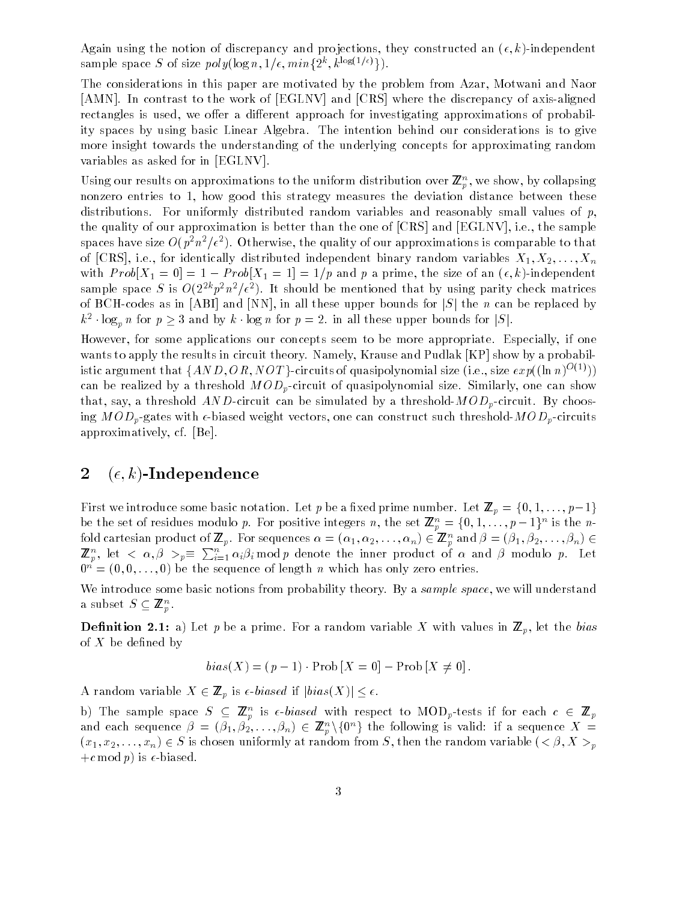Again using the notion of discrepancy and projections, they constructed an  $(\epsilon, k)$ -independent sample space  $S$  of size poly(log n, 1/e,  $min\{2^k, k^{2\log(2)}\}$ ).

The considerations in this paper are motivated by the problem from Azar, Motwani and Naor [AMN]. In contrast to the work of [EGLNV] and [CRS] where the discrepancy of axis-aligned rectangles is used, we offer a different approach for investigating approximations of probability spaces by using basic Linear Algebra. The intention behind our considerations is to give more insight towards the understanding of the underlying concepts for approximating random variables as asked for in [EGLNV].

Using our results on approximations to the uniform distribution over  $\mathbf{z}_p^{\perp}$ , we show, by conapsing nonzero entries to 1, how good this strategy measures the deviation distance between these distributions. For uniformly distributed random variables and reasonably small values of  $p$ , the quality of our approximation is better than the one of [CRS] and [EGLNV], i.e., the sample spaces have size  $O(p^2n^2/\epsilon^2)$ . Otherwise, the quality of our approximations is comparable to that of [CRS], i.e., for identically distributed independent binary random variables  $X_1, X_2, \ldots, X_n$ with P rober  $\mathbb{R}^n$  and p and p and p and p and p and p and p and p and p and p and p and p and p and p and p and p and p and p and p and p and p and p and p and p and p and p and p and p and p and p and p and p and p sample space  $S$  is  $O(2^{2n}p^2n^2/\epsilon^2)$ . It should be mentioned that by using parity check matrices of BCH-codes as in [ABI] and [NN], in all these upper bounds for  $|S|$  the n can be replaced by  $k^2$  · log<sub>p</sub> n for  $p \geq 3$  and by k · log n for  $p = 2$ . In all these upper bounds for  $|S|$ .

However, for some applications our concepts seem to be more appropriate. Especially, if one wants to apply the results in circuit theory. Namely, Krause and Pudlak [KP] show by a probabilistic argument that  $\{AND, OR, NOT\}$ -circuits of quasipolynomial size (i.e., size  $exp((\ln n)^{O(1)}))$ can be realized by a threshold  $MOD_p$ -circuit of quasipolynomial size. Similarly, one can show that, say, a threshold  $AND$ -circuit can be simulated by a threshold- $MOD_p$ -circuit. By choosing  $MOD_p$ -gates with  $\epsilon$ -biased weight vectors, one can construct such threshold- $MOD_p$ -circuits approximatively, cf. [Be].

### 2  $(\epsilon, k)$ -Independence

First we introduce some basic notation. Let  $p$  be a strip  $p$  prime number of  $p$  as  $p$  and  $p$  and  $p$   $\cdots$  ;  $p$   $\cdots$   $p$ be the set of residues modulo p. For positive integers n, the set  $\mathbb{Z}_p = \{0, 1, \ldots, p-1\}$  is the nfold cartesian product of  $\mathbf{z}_p$ , for sequences  $\alpha = (\alpha_1, \alpha_2, \ldots, \alpha_n) \in \mathbf{z}_p$  and  $\rho = (\rho_1, \rho_2, \ldots, \rho_n) \in \mathbf{z}_p$  $\mathbb{Z}_p^n$ , let  $\langle \alpha, \beta \rangle_p \equiv \sum_{i=1}^n \alpha_i \beta_i \bmod p$  denote the inner product of  $\alpha$  and  $\beta$  modulo p. Let  $0^n = (0, 0, \ldots, 0)$  be the sequence of length n which has only zero entries.

We introduce some basic notions from probability theory. By a sample space, we will understand a subset  $S \subseteq \mathbb{Z}_p^n$ .

**Definition 2.1:** a) Let p be a prime. For a random variable X with values in  $\mathbb{Z}_p$ , let the bias of  $X$  be defined by

$$
bias(X) = (p-1) \cdot Prob[X=0] - Prob[X \neq 0].
$$

 $\mathbf{A}$  random variable  $\mathbf{A}$   $\subset$   $\blacksquare$   $p$  is  $\in$  biased if joins  $\mathbf{A}$   $\subset$   $\mathbf{A}$ 

b) The sample space  $S \subseteq \mathbb{Z}_p$  is e-*biased* with respect to MOD<sub>p</sub>-tests if for each  $c \in \mathbb{Z}_p$ and each sequence  $p = (p_1, p_2, \ldots, p_n) \in \mathbb{Z}_p^{\times} \setminus \{0\}^n$  the following is valid: if a sequence  $\Lambda$  =  $(x_1, x_2, \ldots, x_n) \in S$  is chosen uniformly at random from S, then the random variable  $( $\beta, X > p$$  $+c \mod p$  is  $\epsilon$ -biased.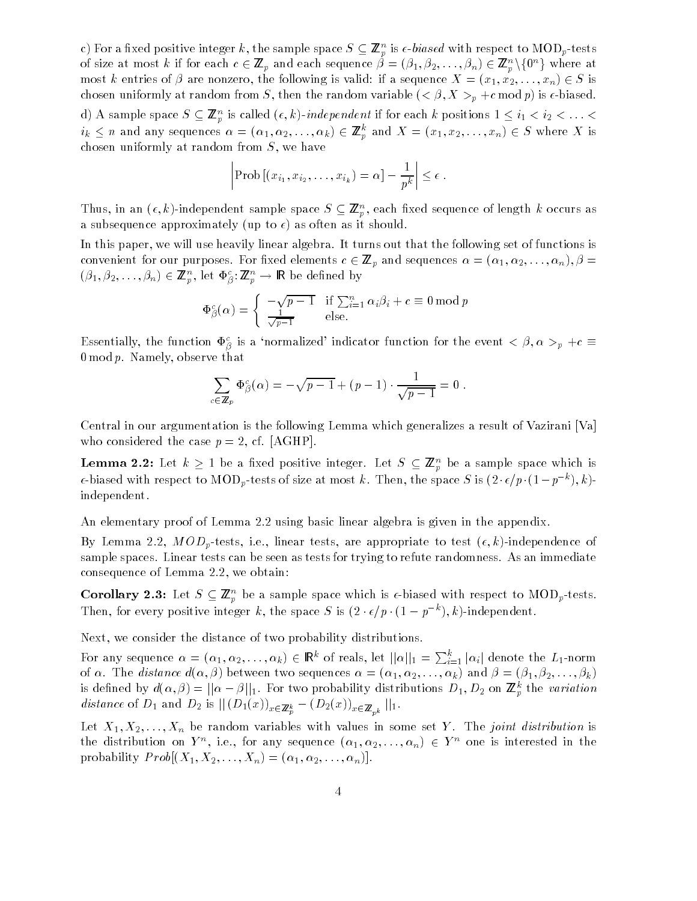c) for a fixed positive integer  $\kappa$ , the sample space  $S \subseteq \mathbb{Z}_p$  is  $\epsilon\text{-}values$  with respect to MOD  $_p\text{-}ness$ of size at most k if for each  $c \in \mathbb{Z}_p$  and each sequence  $\rho = (\rho_1, \rho_2, \ldots, \rho_n) \in \mathbb{Z}_p^\times \setminus \{0^\sim\}$  where at most k entries of  $\beta$  are nonzero, the following is valid: if a sequence  $X = (x_1, x_2, \ldots, x_n) \in S$  is chosen uniformly at random from S, then the random variable  $( $\beta, X > p + c \mod p$ )$  is  $\epsilon$ -biased.  $d$ ) A sample space  $S \subseteq \mathbb{Z}_p^m$  is called  $(\epsilon, \kappa)$ -*independent* if for each  $\kappa$  positions  $1 \leq i_1 < i_2 < \ldots < i_m$  $i_k \leq n$  and any sequences  $\alpha = (\alpha_1, \alpha_2, \ldots, \alpha_k) \in \mathbb{Z}_p^{\times}$  and  $\Lambda = (x_1, x_2, \ldots, x_n) \in S$  where  $\Lambda$  is chosen uniformly at random from  $S$ , we have

$$
\left|\text{Prob}\left[\left(x_{i_1}, x_{i_2}, \ldots, x_{i_k}\right) = \alpha\right] - \frac{1}{p^k}\right| \leq \epsilon.
$$

Thus, in an  $(\epsilon, \kappa)$ -independent sample space  $S \subseteq \mathbb{Z}_p$ , each fixed sequence of length  $\kappa$  occurs as a subsequence approximately (up to  $\epsilon$ ) as often as it should.

In this paper, we will use heavily linear algebra. It turns out that the following set of functions is convenient for our purposes. For xed elements <sup>c</sup> 2 <sup>Z</sup> p and sequences = (1; 2; : : :;n);  <sup>=</sup>  $(p_1, p_2, \ldots, p_n) \in \mathbb{Z}_p$ , let  $\Psi_\beta : \mathbb{Z}_p \to \mathbb{R}$  be defined by

$$
\Phi_{\beta}^{c}(\alpha) = \begin{cases} -\sqrt{p-1} & \text{if } \sum_{i=1}^{n} \alpha_{i} \beta_{i} + c \equiv 0 \mod p \\ \frac{1}{\sqrt{p-1}} & \text{else.} \end{cases}
$$

Essentially, the function  $\Phi_{\beta}^c$  is a 'normalized' indicator function for the event  $\langle \beta, \alpha \rangle_p + c \equiv$ 0 mod  $p$ . Namely, observe that

$$
\sum_{c \in \mathbb{Z}_p} \Phi_{\beta}^c(\alpha) = -\sqrt{p-1} + (p-1) \cdot \frac{1}{\sqrt{p-1}} = 0
$$

Central in our argumentation is the following Lemma which generalizes a result of Vazirani [Va] who considered the case  $p = 2$ , cf. [AGHP].

**Lemma 2.2:** Let  $\kappa \geq 1$  be a fixed positive integer. Let  $S \subseteq \mathbb{Z}_p$  be a sample space which is  $\epsilon$ -biased with respect to MOD<sub>p</sub>-tests of size at most k. Then, the space S is  $(2 \cdot \epsilon/p \cdot (1-p \quad), \kappa)$ independent.

An elementary proof of Lemma 2.2 using basic linear algebra is given in the appendix.

By Lemma 2.2,  $MOD_p$ -tests, i.e., linear tests, are appropriate to test  $(\epsilon, k)$ -independence of sample spaces. Linear tests can be seen as tests for trying to refute randomness. As an immediate consequence of Lemma 2.2, we obtain:

**Coronary 2.3:** Let  $S \subseteq \mathbb{Z}_p$  be a sample space which is e-biased with respect to MOD<sub>p</sub>-tests. Then, for every positive integer k, the space S is  $(z \cdot \epsilon/p \cdot (1 - p \cdot k)$ -independent.

Next, we consider the distance of two probability distributions.

For any sequence  $\alpha = (\alpha_1, \alpha_2, \ldots, \alpha_k) \in \mathbb{R}^k$  of reals, let  $||\alpha||_1 = \sum_{i=1}^k |\alpha_i|$  denote the  $L_1$ -norm of  $\alpha$ . The *distance*  $d(\alpha, \beta)$  between two sequences  $\alpha = (\alpha_1, \alpha_2, \ldots, \alpha_k)$  and  $\beta = (\beta_1, \beta_2, \ldots, \beta_k)$ is defined by  $a(\alpha, \beta) = ||\alpha - \beta||_1$ . For two probability distributions  $D_1, D_2$  on  $\mathbb{Z}_p$  the variation distance of D1 and D2 is jj (D1(x))x2Z <sup>k</sup> <sup>p</sup> (D2(x))x2Z pk jj1.

Let  $X_1, X_2, \ldots, X_n$  be random variables with values in some set Y. The joint distribution is the distribution on  $Y$ , i.e., for any sequence  $(\alpha_1, \alpha_2, \ldots, \alpha_n) \in Y$  one is interested in the probability  $Prob[(X_1, X_2, \ldots, X_n)=(\alpha_1, \alpha_2, \ldots, \alpha_n)].$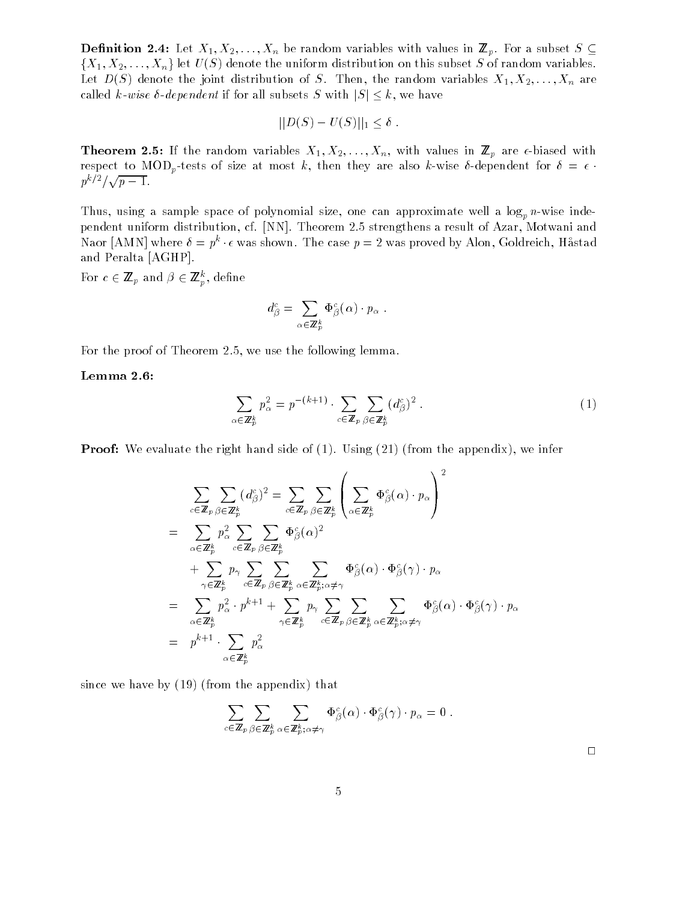**Definition 2.4:** Let  $X_1, X_2, \ldots, X_n$  be random variables with values in  $\mathbb{Z}_p$ . For a subset  $S \subseteq$  $\{X_1, X_2, \ldots, X_n\}$  let  $U(S)$  denote the uniform distribution on this subset S of random variables. Let  $D(S)$  denote the joint distribution of S. Then, the random variables  $X_1, X_2, \ldots, X_n$  are called k-wise  $\delta$ -dependent if for all subsets S with  $|S| \leq k$ , we have

$$
||D(S) - U(S)||_1 \leq \delta.
$$

**Theorem 2.5:** If the random variables  $X_1, X_2, \ldots, X_n$ , with values in  $\mathbb{Z}_p$  are  $\epsilon$ -biased with respect to MOD<sub>p</sub>-tests of size at most k, then they are also k-wise  $\delta$ -dependent for  $\delta = \epsilon$ .  $p^{k/2}/\sqrt{p-1}$ .

Thus, using a sample space of polynomial size, one can approximate well a  $\log_p n$ -wise independent uniform distribution, cf. [NN]. Theorem 2.5 strengthens a result of Azar, Motwani and Naor [AMN] where  $v = p^2 \cdot \epsilon$  was shown. The case  $p = 2$  was proved by Alon, Goldreich, Hastad and Peralta [AGHP].

For  $c \in \mathbb{Z}_p$  and  $\rho \in \mathbb{Z}_p$ , denne

$$
d_{\beta}^{c} = \sum_{\alpha \in \mathbb{Z}_{p}^{k}} \Phi_{\beta}^{c}(\alpha) \cdot p_{\alpha} .
$$

For the proof of Theorem 2.5, we use the following lemma.

Lemma 2.6:

$$
\sum_{\alpha \in \mathbb{Z}_p^k} p_\alpha^2 = p^{-(k+1)} \cdot \sum_{c \in \mathbb{Z}_p} \sum_{\beta \in \mathbb{Z}_p^k} (d_\beta^c)^2 \ . \tag{1}
$$

**Proof:** We evaluate the right hand side of (1). Using (21) (from the appendix), we infer

$$
\sum_{c \in \mathbb{Z}_p} \sum_{\beta \in \mathbb{Z}_p^k} (d_{\beta}^c)^2 = \sum_{c \in \mathbb{Z}_p} \sum_{\beta \in \mathbb{Z}_p^k} \left( \sum_{\alpha \in \mathbb{Z}_p^k} \Phi_{\beta}^c(\alpha) \cdot p_{\alpha} \right)^2
$$
\n
$$
= \sum_{\alpha \in \mathbb{Z}_p^k} p_{\alpha}^2 \sum_{c \in \mathbb{Z}_p} \sum_{\beta \in \mathbb{Z}_p^k} \Phi_{\beta}^c(\alpha)^2
$$
\n
$$
+ \sum_{\gamma \in \mathbb{Z}_p^k} p_{\gamma} \sum_{c \in \mathbb{Z}_p} \sum_{\beta \in \mathbb{Z}_p^k} \sum_{\alpha \in \mathbb{Z}_p^k} \sum_{\alpha \in \mathbb{Z}_p^k} \Phi_{\beta}^c(\alpha) \cdot \Phi_{\beta}^c(\gamma) \cdot p_{\alpha}
$$
\n
$$
= \sum_{\alpha \in \mathbb{Z}_p^k} p_{\alpha}^2 \cdot p^{k+1} + \sum_{\gamma \in \mathbb{Z}_p^k} p_{\gamma} \sum_{c \in \mathbb{Z}_p} \sum_{\beta \in \mathbb{Z}_p^k} \sum_{\alpha \in \mathbb{Z}_p^k} \Phi_{\beta}^c(\alpha) \cdot \Phi_{\beta}^c(\gamma) \cdot p_{\alpha}
$$
\n
$$
= p^{k+1} \cdot \sum_{\alpha \in \mathbb{Z}_p^k} p_{\alpha}^2
$$

since we have by (19) (from the appendix) that

$$
\sum_{c\in\mathbb{Z}_p}\sum_{\beta\in\mathbb{Z}_p^k}\sum_{\alpha\in\mathbb{Z}_p^k;\alpha\neq\gamma}\Phi_{\beta}^c(\alpha)\cdot\Phi_{\beta}^c(\gamma)\cdot p_{\alpha}=0.
$$

 $\Box$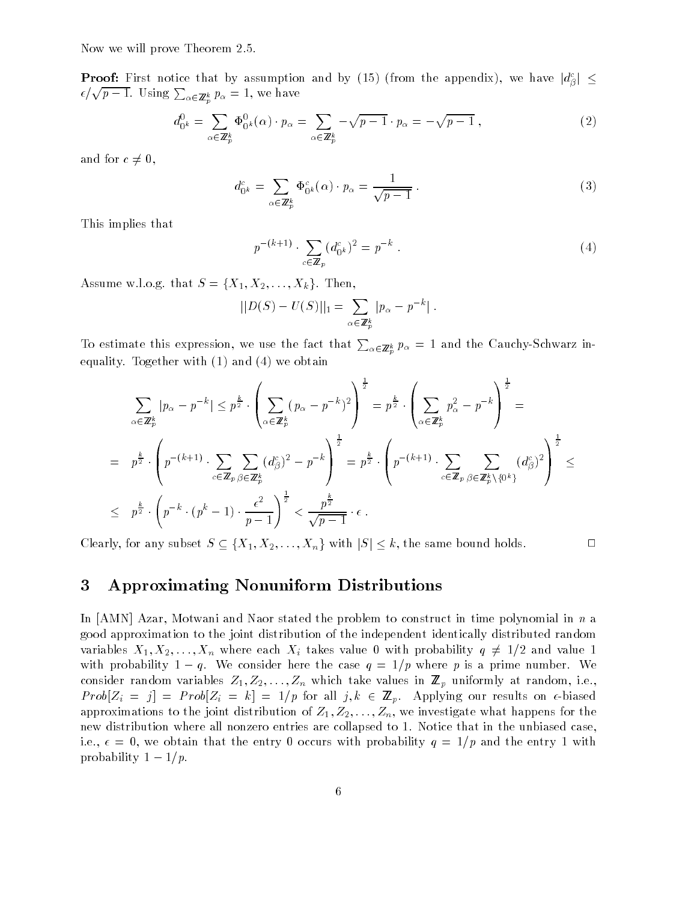Now we will prove Theorem 2.5.

**Proof:** First notice that by assumption and by (15) (from the appendix), we have  $|d_{\beta}^c| \leq$  $\epsilon/\sqrt{p-1}$ . Using  $\sum_{\alpha\in\mathbb{Z}_p^k} p_{\alpha} = 1$ , we have

$$
d_{0^k}^0 = \sum_{\alpha \in \mathbb{Z}_p^k} \Phi_{0^k}^0(\alpha) \cdot p_\alpha = \sum_{\alpha \in \mathbb{Z}_p^k} -\sqrt{p-1} \cdot p_\alpha = -\sqrt{p-1} \,,\tag{2}
$$

and for  $c \neq 0$ ,

$$
d_{0^k}^c = \sum_{\alpha \in \mathbb{Z}_p^k} \Phi_{0^k}^c(\alpha) \cdot p_\alpha = \frac{1}{\sqrt{p-1}}.
$$
 (3)

This implies that

$$
p^{-(k+1)} \cdot \sum_{c \in \mathbb{Z}_p} (d_{0^k}^c)^2 = p^{-k} \tag{4}
$$

Assume w.l.o.g. that  $S = \{X_1, X_2, \ldots, X_k\}$ . Then,

$$
||D(S) – U(S)||_1 = \sum_{\alpha \in \mathbb{Z}_p^k} |p_{\alpha} - p^{-k}|.
$$

To estimate this expression, we use the fact that  $\sum_{\alpha\in\mathbb{Z}_p^k}p_\alpha=1$  and the Cauchy-Schwarz inequality. Together with (1) and (4) we obtain

$$
\sum_{\alpha \in \mathbb{Z}_p^k} |p_{\alpha} - p^{-k}| \leq p^{\frac{k}{2}} \cdot \left( \sum_{\alpha \in \mathbb{Z}_p^k} (p_{\alpha} - p^{-k})^2 \right)^{\frac{1}{2}} = p^{\frac{k}{2}} \cdot \left( \sum_{\alpha \in \mathbb{Z}_p^k} p_{\alpha}^2 - p^{-k} \right)^{\frac{1}{2}} =
$$
\n
$$
= p^{\frac{k}{2}} \cdot \left( p^{-(k+1)} \cdot \sum_{c \in \mathbb{Z}_p} \sum_{\beta \in \mathbb{Z}_p^k} (d_{\beta}^c)^2 - p^{-k} \right)^{\frac{1}{2}} = p^{\frac{k}{2}} \cdot \left( p^{-(k+1)} \cdot \sum_{c \in \mathbb{Z}_p} \sum_{\beta \in \mathbb{Z}_p^k \setminus \{0^k\}} (d_{\beta}^c)^2 \right)^{\frac{1}{2}} \leq
$$
\n
$$
\leq p^{\frac{k}{2}} \cdot \left( p^{-k} \cdot (p^k - 1) \cdot \frac{\epsilon^2}{p - 1} \right)^{\frac{1}{2}} < \frac{p^{\frac{k}{2}}}{\sqrt{p - 1}} \cdot \epsilon.
$$

Clearly, for any subset  $S \subseteq \{X_1, X_2, ..., X_n\}$  with  $|S| \leq k$ , the same bound holds.

#### 3 3 Approximating Nonuniform Distributions

In [AMN] Azar, Motwani and Naor stated the problem to construct in time polynomial in n a good approximation to the joint distribution of the independent identically distributed random variables  $X_1, X_2, \ldots, X_n$  where each  $X_i$  takes value 0 with probability  $q \neq 1/2$  and value 1 with probability  $1 - q$ . We consider here the case  $q = 1/p$  where p is a prime number. We consider random variables  $Z_1, Z_2, \ldots, Z_n$  which take values in  $\mathbb{Z}_p$  uniformly at random, i.e.,  $Prob[Z_i = j] = Prob[Z_i = k] = 1/p$  for all  $j, k \in \mathbb{Z}_p$ . Applying our results on  $\epsilon$ -biased approximations to the joint distribution of  $Z_1, Z_2, \ldots, Z_n$ , we investigate what happens for the new distribution where all nonzero entries are collapsed to 1. Notice that in the unbiased case, i.e.,  $\epsilon = 0$ , we obtain that the entry 0 occurs with probability  $q = 1/p$  and the entry 1 with probability  $1-1/p$ .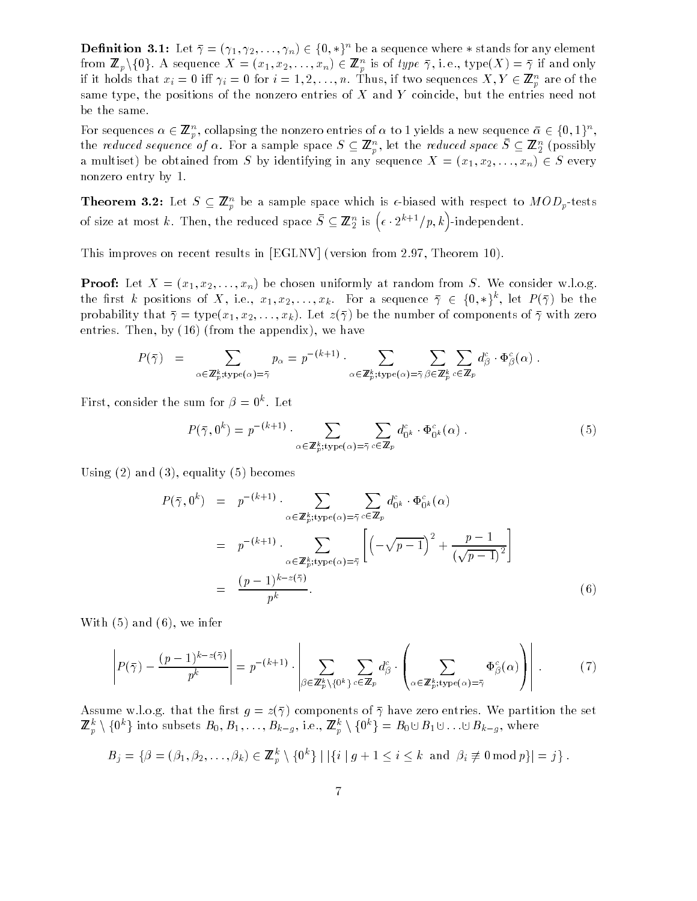**Definition 3.1:** Let  $\bar{\gamma} = (\gamma_1, \gamma_2, \ldots, \gamma_n) \in \{0, *\}^n$  be a sequence where  $*$  stands for any element from  $\mathbb{Z}_p \setminus \{0\}$ . A sequence  $\Lambda = (x_1, x_2, \ldots, x_n) \in \mathbb{Z}_p^n$  is of type  $\gamma$ , i.e., type $(\Lambda) = \gamma$  if and only if it holds that  $x_i = 0$  in  $\gamma_i = 0$  for  $i = 1, 2, ..., n$ . Thus, if two sequences  $\Lambda, I \in \mathbb{Z}_p$  are of the same type, the positions of the nonzero entries of X and Y coincide, but the entries need not be the same.

For sequences  $\alpha \in \mathbb{Z}_p^{\times}$ , conapsing the nonzero entries of  $\alpha$  to 1 yields a new sequence  $\alpha \in \{0,1\}^{\times}$ , the reduced sequence of  $\alpha$ . For a sample space  $\beta \subseteq \mathbb{Z}_p$ , let the reduced space  $\beta \subseteq \mathbb{Z}_2$  (possibly a multiset) be obtained from S by identifying in any sequence  $X = (x_1, x_2, \ldots, x_n) \in S$  every nonzero entry by 1.

**Theorem 3.2:** Let  $S \subseteq \mathbb{Z}_p$  be a sample space which is  $\epsilon$ -biased with respect to  $MOD_p$ -tests of size at most k. Then, the reduced space  $\bar{S} \subseteq \mathbb{Z}_2^n$  is  $\left(\epsilon \cdot 2^{k+1}/p, k\right)$ -independent.

This improves on recent results in [EGLNV] (version from 2.97, Theorem 10).

**Proof:** Let  $X = (x_1, x_2, \ldots, x_n)$  be chosen uniformly at random from S. We consider w.l.o.g. the first k positions of  $\Lambda$ , i.e.,  $x_1, x_2, \ldots, x_k$ . For a sequence  $\gamma \in \{0, * \}$ , let  $F(\gamma)$  be the probability that  $\bar{\gamma} = \text{type}(x_1, x_2, \dots, x_k)$ . Let  $z(\bar{\gamma})$  be the number of components of  $\bar{\gamma}$  with zero entries. Then, by (16) (from the appendix), we have

$$
P(\bar{\gamma}) = \sum_{\alpha \in \mathbb{Z}_p^k; \text{type}(\alpha) = \bar{\gamma}} p_{\alpha} = p^{-(k+1)} \cdot \sum_{\alpha \in \mathbb{Z}_p^k; \text{type}(\alpha) = \bar{\gamma}} \sum_{\beta \in \mathbb{Z}_p^k} \sum_{c \in \mathbb{Z}_p} d_{\beta}^c \cdot \Phi_{\beta}^c(\alpha) .
$$

First, consider the sum for  $\rho = 0$ . Let

$$
P(\bar{\gamma}, 0^k) = p^{-(k+1)} \cdot \sum_{\alpha \in \mathbb{Z}_p^k : \text{type}(\alpha) = \bar{\gamma}} \sum_{c \in \mathbb{Z}_p} d_{0^k}^c \cdot \Phi_{0^k}^c(\alpha) \,. \tag{5}
$$

Using  $(2)$  and  $(3)$ , equality  $(5)$  becomes

$$
P(\bar{\gamma}, 0^k) = p^{-(k+1)} \cdot \sum_{\alpha \in \mathbb{Z}_p^k; \text{type}(\alpha) = \bar{\gamma}} \sum_{c \in \mathbb{Z}_p} d_{0^k}^c \cdot \Phi_{0^k}^c(\alpha)
$$
  

$$
= p^{-(k+1)} \cdot \sum_{\alpha \in \mathbb{Z}_p^k; \text{type}(\alpha) = \bar{\gamma}} \left[ \left( -\sqrt{p-1} \right)^2 + \frac{p-1}{(\sqrt{p-1})^2} \right]
$$
  

$$
= \frac{(p-1)^{k-z(\bar{\gamma})}}{p^k}.
$$
 (6)

With (5) and (6), we infer

$$
\left| P(\bar{\gamma}) - \frac{(p-1)^{k-z(\bar{\gamma})}}{p^k} \right| = p^{-(k+1)} \cdot \left| \sum_{\beta \in \mathbb{Z}_p^k \setminus \{0^k\}} \sum_{c \in \mathbb{Z}_p} d_{\beta}^c \cdot \left( \sum_{\alpha \in \mathbb{Z}_p^k; \text{type}(\alpha) = \bar{\gamma}} \Phi_{\beta}^c(\alpha) \right) \right| \ . \tag{7}
$$

Assume w.l.o.g. that the first  $g = z(\bar{\gamma})$  components of  $\bar{\gamma}$  have zero entries. We partition the set  $\mathbb{Z}_p \setminus \{0\}$  into subsets  $D_0, D_1, \ldots, D_{k-g}, 1.$ e.,  $\mathbb{Z}_p \setminus \{0\} = D_0 \cup D_1 \cup \ldots \cup D_{k-g}$ , where

$$
B_j = \{ \beta = (\beta_1, \beta_2, \dots, \beta_k) \in \mathbb{Z}_p^k \setminus \{0^k\} \mid |\{i \mid g + 1 \le i \le k \text{ and } \beta_i \not\equiv 0 \bmod p \}| = j \}.
$$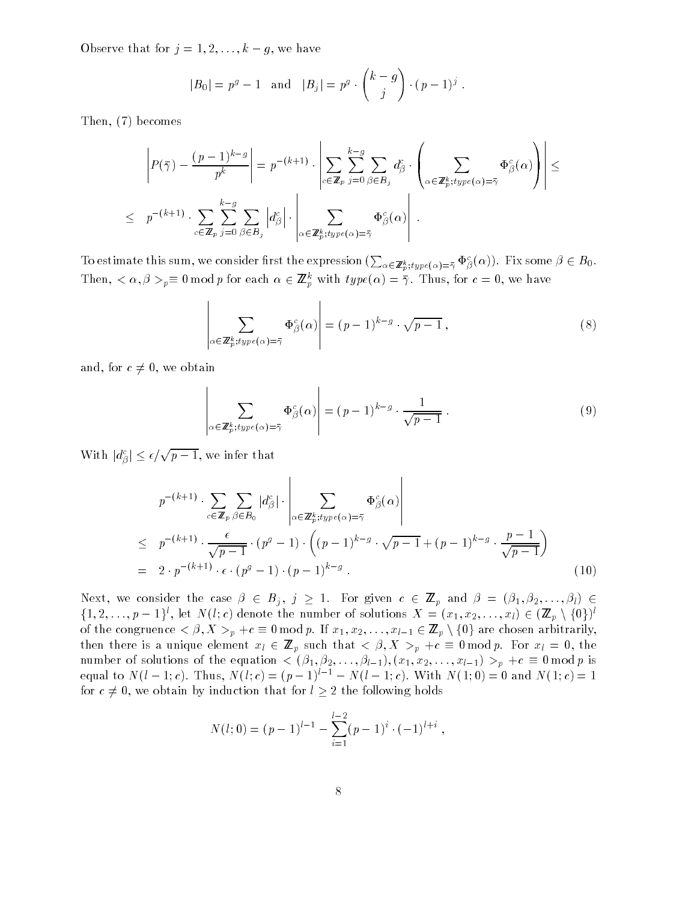Observe that for  $j = 1, 2, ..., k - g$ , we have

$$
|B_0| = p^g - 1
$$
 and  $|B_j| = p^g \cdot {k - g \choose j} \cdot (p - 1)^j$ .

Then, (7) becomes

$$
\left| P(\bar{\gamma}) - \frac{(p-1)^{k-g}}{p^k} \right| = p^{-(k+1)} \cdot \left| \sum_{c \in \mathbb{Z}_p} \sum_{j=0}^{k-g} \sum_{\beta \in B_j} d_{\beta}^c \cdot \left( \sum_{\alpha \in \mathbb{Z}_p^k; type(\alpha) = \bar{\gamma}} \Phi_{\beta}^c(\alpha) \right) \right| \le
$$
  

$$
\leq p^{-(k+1)} \cdot \sum_{c \in \mathbb{Z}_p} \sum_{j=0}^{k-g} \sum_{\beta \in B_j} \left| d_{\beta}^c \right| \cdot \left| \sum_{\alpha \in \mathbb{Z}_p^k; type(\alpha) = \bar{\gamma}} \Phi_{\beta}^c(\alpha) \right|.
$$

To estimate this sum, we consider first the expression  $(\sum_{\alpha\in\mathbb{Z}_p^k; type(\alpha)=\bar\gamma} \Phi_\beta^c(\alpha)).$  Fix some  $\beta\in B_0.$ Then,  $\langle \alpha, \beta \rangle_p = 0$  mod p for each  $\alpha \in \mathbb{Z}_p^{\times}$  with  $type(\alpha) = \gamma$ . Thus, for  $c = 0$ , we have

$$
\left| \sum_{\alpha \in \mathbb{Z}_p^k; type(\alpha) = \overline{\gamma}} \Phi_{\beta}^c(\alpha) \right| = (p-1)^{k-g} \cdot \sqrt{p-1}, \tag{8}
$$

and, for  $c \neq 0$ , we obtain

$$
\left| \sum_{\alpha \in \mathbb{Z}_p^k : type(\alpha) = \overline{\gamma}} \Phi_{\beta}^c(\alpha) \right| = (p-1)^{k-g} \cdot \frac{1}{\sqrt{p-1}} \,. \tag{9}
$$

With  $|d_{\beta}^c| \leq \epsilon/\sqrt{p-1}$ , we infer that

$$
p^{-(k+1)} \cdot \sum_{c \in \mathbb{Z}_p} \sum_{\beta \in B_0} |d_{\beta}^c| \cdot \left| \sum_{\alpha \in \mathbb{Z}_p^k; type(\alpha) = \overline{\gamma}} \Phi_{\beta}^c(\alpha) \right|
$$
  
\n
$$
\leq p^{-(k+1)} \cdot \frac{\epsilon}{\sqrt{p-1}} \cdot (p^g - 1) \cdot \left( (p-1)^{k-g} \cdot \sqrt{p-1} + (p-1)^{k-g} \cdot \frac{p-1}{\sqrt{p-1}} \right)
$$
  
\n
$$
= 2 \cdot p^{-(k+1)} \cdot \epsilon \cdot (p^g - 1) \cdot (p-1)^{k-g} . \tag{10}
$$

Next, we consider the case  $\beta \in B_j$ ,  $j \ge 1$ . For given  $c \in \mathbb{Z}_p$  and  $\beta = (\beta_1, \beta_2, \ldots, \beta_l) \in$  $f_1, 2, \ldots, p-1$ ; let  $N(i; c)$  denote the number of solutions  $A = (x_1, x_2, \ldots, x_l) \in (\mathbb{Z}_p \setminus \{0\})$ of the congruence  $\langle \beta, X \rangle_p + c \equiv 0 \mod p$ . If  $x_1, x_2, \ldots, x_{l-1} \in \mathbb{Z}_p \setminus \{0\}$  are chosen arbitrarily, then there is a unique element  $x_l \in \mathbb{Z}_p$  such that  $\langle \beta, X \rangle_p + c \equiv 0 \mod p$ . For  $x_l = 0$ , the number of solutions of the equation  $\langle (\beta_1, \beta_2, \ldots, \beta_{l-1}), (x_1, x_2, \ldots, x_{l-1}) \rangle_p + c \equiv 0 \mod p$  is equal to  $N(l-1; c)$ . Thus,  $N(l; c) = (p-1)^{l-1} - N(l-1; c)$ . With  $N(1; 0) = 0$  and  $N(1; c) = 1$ for  $c \neq 0$ , we obtain by induction that for  $l \geq 2$  the following holds

$$
N(l; 0) = (p - 1)^{l-1} - \sum_{i=1}^{l-2} (p - 1)^{i} \cdot (-1)^{l+i} ,
$$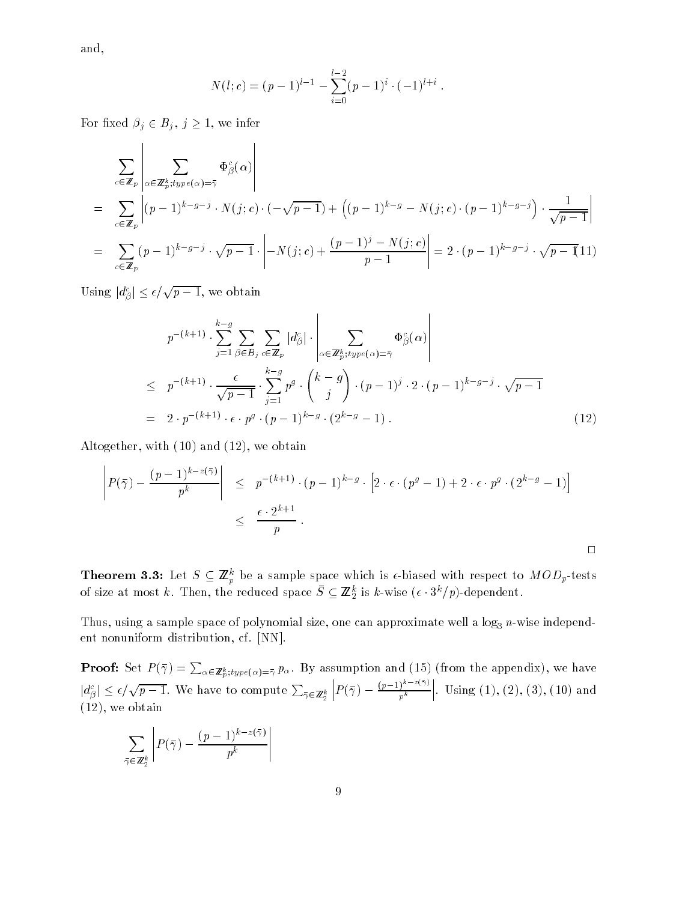and,

$$
N(l; c) = (p - 1)^{l-1} - \sum_{i=0}^{l-2} (p - 1)^{i} \cdot (-1)^{l+i}.
$$

For fixed  $\beta_j \in B_j$ ,  $j \geq 1$ , we infer

$$
\sum_{c \in \mathbb{Z}_p} \left| \sum_{\alpha \in \mathbb{Z}_p^k; type(\alpha) = \overline{\gamma}} \Phi_{\beta}^c(\alpha) \right|
$$
\n
$$
= \sum_{c \in \mathbb{Z}_p} \left| (p-1)^{k-g-j} \cdot N(j;c) \cdot (-\sqrt{p-1}) + \left( (p-1)^{k-g} - N(j;c) \cdot (p-1)^{k-g-j} \right) \cdot \frac{1}{\sqrt{p-1}} \right|
$$
\n
$$
= \sum_{c \in \mathbb{Z}_p} (p-1)^{k-g-j} \cdot \sqrt{p-1} \cdot \left| -N(j;c) + \frac{(p-1)^j - N(j;c)}{p-1} \right| = 2 \cdot (p-1)^{k-g-j} \cdot \sqrt{p-1} (11)
$$

and the state of the state of the state of

Using  $|d_{\beta}^c| \leq \epsilon/\sqrt{p-1}$ , we obtain

$$
p^{-(k+1)} \cdot \sum_{j=1}^{k-g} \sum_{\beta \in B_j} \sum_{c \in \mathbb{Z}_p} |d_{\beta}^c| \cdot \left| \sum_{\alpha \in \mathbb{Z}_p^k; type(\alpha) = \overline{\gamma}} \Phi_{\beta}^c(\alpha) \right|
$$
  
\n
$$
\leq p^{-(k+1)} \cdot \frac{\epsilon}{\sqrt{p-1}} \cdot \sum_{j=1}^{k-g} p^g \cdot {k-g \choose j} \cdot (p-1)^j \cdot 2 \cdot (p-1)^{k-g-j} \cdot \sqrt{p-1}
$$
  
\n
$$
= 2 \cdot p^{-(k+1)} \cdot \epsilon \cdot p^g \cdot (p-1)^{k-g} \cdot (2^{k-g} - 1).
$$
 (12)

and the state of the state of the state of

Altogether, with (10) and (12), we obtain

$$
\left| P(\bar{\gamma}) - \frac{(p-1)^{k-z(\bar{\gamma})}}{p^k} \right| \leq p^{-(k+1)} \cdot (p-1)^{k-g} \cdot \left[ 2 \cdot \epsilon \cdot (p^g - 1) + 2 \cdot \epsilon \cdot p^g \cdot (2^{k-g} - 1) \right]
$$
  

$$
\leq \frac{\epsilon \cdot 2^{k+1}}{p}.
$$

**Theorem 3.3:** Let  $S \subseteq \mathbb{Z}_p$  be a sample space which is  $\epsilon$ -biased with respect to  $MOD_p$ -tests of size at most  $\kappa$ . Then, the reduced space  $S \subseteq \mathbb{Z}_2$  is  $\kappa$ -wise ( $\epsilon \cdot s$  /p)-dependent.

Thus, using a sample space of polynomial size, one can approximate well a log3 n-wise independent nonuniform distribution, cf. [NN].

**Proof:** Set  $P(\bar{\gamma}) = \sum_{\alpha \in \mathbb{Z}_p^k; type(\alpha) = \bar{\gamma}} p_\alpha$ . By assumption and (15) (from the appendix), we have  $|d^c_\beta|\leq \epsilon/\sqrt{p-1}.$  We have to compute  $\sum_{\bar{\gamma}\in\mathbb{Z}_2^k}|P|$  $\left| P(\bar{\gamma}) - \frac{(p-1)^{k-z(\bar{\gamma})}}{p^k} \right|.$ . Using  $(1), (2), (3), (10)$  and (12), we obtain

$$
\sum_{\bar{\gamma} \in \mathbb{Z}_2^k} \left| P(\bar{\gamma}) - \frac{(p-1)^{k-z(\bar{\gamma})}}{p^k} \right|
$$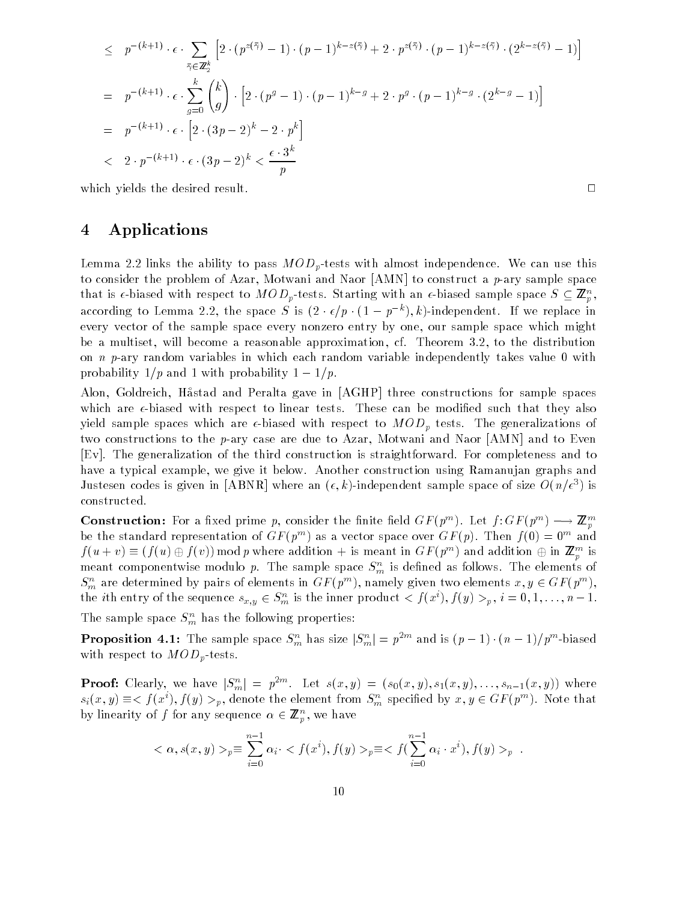$$
\leq p^{-(k+1)} \cdot \epsilon \cdot \sum_{\bar{\gamma} \in \mathbb{Z}_2^k} \left[ 2 \cdot (p^{z(\bar{\gamma})} - 1) \cdot (p - 1)^{k - z(\bar{\gamma})} + 2 \cdot p^{z(\bar{\gamma})} \cdot (p - 1)^{k - z(\bar{\gamma})} \cdot (2^{k - z(\bar{\gamma})} - 1) \right]
$$
\n
$$
= p^{-(k+1)} \cdot \epsilon \cdot \sum_{g=0}^k {k \choose g} \cdot \left[ 2 \cdot (p^g - 1) \cdot (p - 1)^{k - g} + 2 \cdot p^g \cdot (p - 1)^{k - g} \cdot (2^{k - g} - 1) \right]
$$
\n
$$
= p^{-(k+1)} \cdot \epsilon \cdot \left[ 2 \cdot (3p - 2)^k - 2 \cdot p^k \right]
$$
\n
$$
< 2 \cdot p^{-(k+1)} \cdot \epsilon \cdot (3p - 2)^k < \frac{\epsilon \cdot 3^k}{p}
$$

which yields the desired result.  $\Box$ 

## 4 Applications

Lemma 2.2 links the ability to pass  $MOD_p$ -tests with almost independence. We can use this to consider the problem of Azar, Motwani and Naor [AMN] to construct a p-ary sample space that is e-biased with respect to *MOD<sub>p</sub>*-tests. Starting with an e-biased sample space  $S \subseteq \mathbb{Z}_p$ , according to Lemma 2.2, the space  $S$  is  $(Z + \epsilon/p + (1 - p - 1, k)$ -independent. If we replace in every vector of the sample space every nonzero entry by one, our sample space which might be a multiset, will become a reasonable approximation, cf. Theorem 3.2, to the distribution on n p-ary random variables in which each random variable independently takes value 0 with probability  $1/p$  and 1 with probability  $1-1/p$ .

Alon, Goldreich, Hastad and Peralta gave in [AGHP] three constructions for sample spaces which are  $\epsilon$ -biased with respect to linear tests. These can be modified such that they also yield sample spaces which are  $\epsilon$ -biased with respect to  $MOD_p$  tests. The generalizations of two constructions to the p-ary case are due to Azar, Motwani and Naor [AMN] and to Even [Ev]. The generalization of the third construction is straightforward. For completeness and to have a typical example, we give it below. Another construction using Ramanujan graphs and Justesen codes is given in  $[ABN\mathbf{K}]$  where an  $(\epsilon,\kappa)$ -independent sample space of size  $O(n/\epsilon^*)$  is constructed.

Construction: For a fixed prime p, consider the finite field  $GF(p)$  ). Let  $f:GF(p)$   $\rightarrow$   $\rightarrow$   $\mathbb{Z}_{n}$ **produced** and the product of the second second the second second second the second second second second second second second second second second second second second second second second second second second second secon be the standard representation of  $GF(p \rightarrow a s a$  vector space over  $GF(p)$ . Then  $f(0) \equiv 0$  and  $f(u + v) = (f(u) \oplus f(v))$  mod p where addition  $+$  is meant in GF  $(p<sup>m</sup>)$  and addition  $\oplus$  in  $\mathbb{Z}_p^m$  is meant componentwise modulo p. The sample space  $S_m^n$  is defined as follows. The elements of  $S_m$  are determined by pairs of elements in  $GF(p^-)$ , namely given two elements  $x, y \in GF(p^-)$ , the *i*th entry of the sequence  $s_{x,y} \in S_m^n$  is the inner product  $\langle f(x^i), f(y) \rangle_p, i = 0, 1, \ldots, n-1.$ 

The sample space  $S_m^n$  has the following properties:

**Proposition 4.1:** The sample space  $S_m^m$  has size  $|S_m^n| = p^{-m}$  and is  $(p-1) \cdot (n-1)/p^{m}$ -biased with respect to  $MOD_p$ -tests.

**Proof:** Clearly, we have  $|S_m^n| = p^{2m}$ . Let  $s(x, y) = (s_0(x, y), s_1(x, y), \ldots, s_{n-1}(x, y))$  where  $s_i(x, y) = \langle f(x), f(y) \rangle$ , denote the element from  $S_m$  specified by  $x, y \in G$   $f(p)$ . Note that by imearity of f for any sequence  $\alpha \in \mathbb{Z}_p$ , we have

$$
\langle \alpha, s(x, y) \rangle_{p} \equiv \sum_{i=0}^{n-1} \alpha_{i} \cdot \langle f(x^{i}), f(y) \rangle_{p} \equiv \langle f(\sum_{i=0}^{n-1} \alpha_{i} \cdot x^{i}), f(y) \rangle_{p} .
$$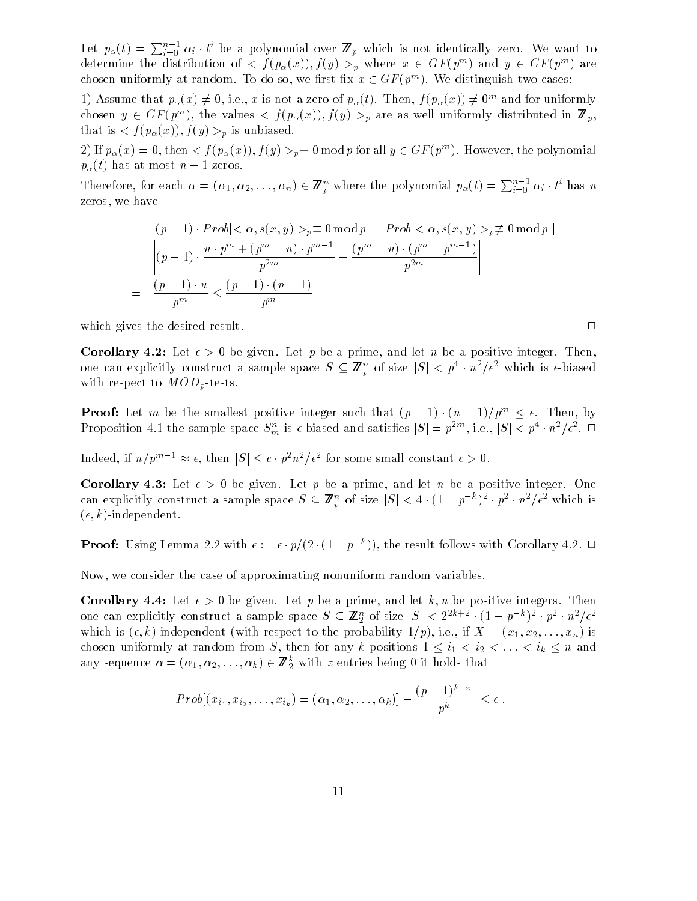Let  $p_\alpha(t) = \sum_{i=0}^{n-1} \alpha_i \cdot t^i$  be a polynomial over  $\mathbb{Z}_p$  which is not identically zero. We want to determine the distribution of  $\langle f| \left( p_{\alpha}(x) \right) , f(y) \rangle >_{p}$  where  $x \in \text{Gr}(p^{m})$  and  $y \in \text{Gr}(p^{m})$  are chosen uniformly at random. To do so, we first fix  $x \in Gr(p \mid)$  , we distinguish two cases:

1) Assume that  $p_{\alpha}(x) \neq 0, 1, e., x$  is not a zero of  $p_{\alpha}(t)$ . Then,  $f(p_{\alpha}(x)) \neq 0$  and for unnormly chosen  $y \in \text{Gr}(p^m)$ , the values  $\langle -f(p_\alpha(x)) , f(y) \rangle$  are as well uniformly distributed in  $\mathbb{Z}_p,$ that is  $\langle f(p_\alpha(x)), f(y) \rangle_p$  is unbiased.

 $2$ ) If  $p_\alpha(x) = 0$ , then  $\langle f | f_\alpha(x) f, f(y) \rangle_{p} = 0$  mod p for all  $y \in \text{Gr}(p^-)$ . However, the polynomial  $p_{\alpha}(t)$  has at most  $n-1$  zeros.

Therefore, for each  $\alpha=(\alpha_1,\alpha_2,\ldots,\alpha_n)\in\mathbb{Z}_p^n$  where the polynomial  $p_\alpha(t)=\sum_{i=0}^{n-1}\alpha_i\cdot t^i$  has u zeros, we have

$$
|(p-1) \cdot Prob[<\alpha, s(x, y)>_{p} \equiv 0 \mod p] - Prob[<\alpha, s(x, y)>_{p} \not\equiv 0 \mod p]
$$
  
= 
$$
\left| (p-1) \cdot \frac{u \cdot p^{m} + (p^{m} - u) \cdot p^{m-1}}{p^{2m}} - \frac{(p^{m} - u) \cdot (p^{m} - p^{m-1})}{p^{2m}} \right|
$$
  
= 
$$
\frac{(p-1) \cdot u}{p^{m}} \le \frac{(p-1) \cdot (n-1)}{p^{m}}
$$

which gives the desired result.  $\Box$ 

**Corollary 4.2:** Let  $\epsilon > 0$  be given. Let p be a prime, and let n be a positive integer. Then, one can explicitly construct a sample space  $S \subseteq \mathbb{Z}_p^n$  of size  $|S| \leq p + n^2/\epsilon^2$  which is  $\epsilon$ -biased with respect to  $MOD_p$ -tests.

**Proof:** Let m be the smallest positive integer such that  $(p-1) \cdot (n-1)/p^m \leq \epsilon$ . Then, by Proposition 4.1 the sample space  $S_m$  is  $\epsilon$ -biased and satisfies  $|S| = p^{-m}$ , i.e.,  $|S| \leq p^+ \cdot n^-/\epsilon^-$ .  $\Box$ 

Indeed, if  $n/p^m \rightharpoonup \approx \epsilon$ , then  $|S| \leq c \cdot p^2n^2/\epsilon^2$  for some small constant  $c > 0$ .

Corollary 4.3: Let  $\epsilon > 0$  be given. Let p be a prime, and let n be a positive integer. One can explicitly construct a sample space  $S \subseteq \mathbb{Z}_p^{\infty}$  of size  $|S| \leq 4 \cdot (1 - p^{-\alpha})^{2} \cdot p^{2} \cdot n^{2}/\epsilon^{2}$  which is  $(\epsilon, k)$ -independent.

**Proof:** Using Lemma 2.2 with  $\epsilon := \epsilon \cdot p/(2 \cdot (1 - p \epsilon))$ , the result follows with Corollary 4.2.  $\Box$ 

Now, we consider the case of approximating nonuniform random variables.

**Corollary 4.4:** Let  $\epsilon > 0$  be given. Let p be a prime, and let k, n be positive integers. Then one can explicitly construct a sample space  $S \subseteq \mathbb{Z}_2^{\times}$  of size  $|S| < 2^{-n+\gamma} \cdot (1-p^{-\gamma})^{-1} \cdot p^{\gamma} \cdot n^{\gamma} \cdot \epsilon^{\gamma}$ which is  $(\epsilon, k)$ -independent (with respect to the probability 1/p), i.e., if  $X = (x_1, x_2, \ldots, x_n)$  is chosen uniformly at random from S, there are any k positions 1  $\pm$  i1  $\times$  in  $\times$  in  $\lambda$  in and any sequence  $\alpha = (\alpha_1, \alpha_2, \ldots, \alpha_k) \in \mathbb{Z}_2^{\times}$  with z entries being 0 it holds that  $\overline{\phantom{a}}$ 

$$
\left| Prob[(x_{i_1}, x_{i_2}, \ldots, x_{i_k}) = (\alpha_1, \alpha_2, \ldots, \alpha_k)] - \frac{(p-1)^{k-z}}{p^k} \right| \leq \epsilon.
$$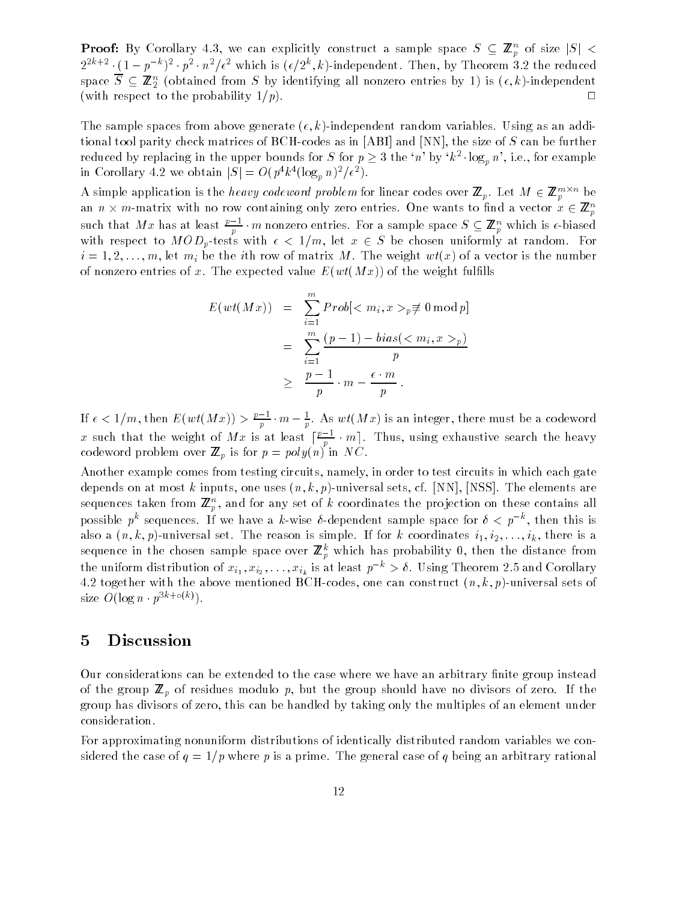**Proof:** By Corollary 4.3, we can explicitly construct a sample space  $S \subseteq \mathbb{Z}_p$  of size  $|S| \leq$  $2^{2^{n+2}} \cdot (1-p^{-n})^2 \cdot p^2 \cdot n^2/\epsilon^2$  which is  $(\epsilon/2^n, \kappa)$ -independent. Then, by Theorem 3.2 the reduced space  $S \subseteq \mathbb{Z}_2^{\times}$  (obtained from S by identifying all nonzero entries by 1) is  $(\epsilon, \kappa)$ -independent  $\tilde{\phantom{a}}$ (with respect to the probability  $1/p$ ).

The sample spaces from above generate  $(\epsilon, k)$ -independent random variables. Using as an additional tool parity check matrices of BCH-codes as in [ABI] and [NN], the size of S can be further reduced by replacing in the upper bounds for S for  $p \geq 3$  the 'n' by ' $k^2 \cdot \log_p n$ ', i.e., for example In Corollary 4.2 we obtain  $|S| = O(p^k \cdot (\log_p n)^2/\epsilon^2)$ .

A simple application is the *heavy codeword problem* for linear codes over  $\mathbf{z}_p$ , Let  $m \in \mathbf{z}_p$  be an  $n \times m$ -matrix with no row containing only zero entries. One wants to find a vector  $x \in \mathbb{Z}_n^+$ p such that Mx has at least  $\frac{p-1}{p}\cdot m$  nonzero entries. For a sample space  $S\subseteq \mathbb{Z}_p^n$  which is  $\epsilon$ -biased p with respect to model  $p$  from with  $\alpha$  ,  $\alpha$  is a chosen uniformly at random. For  $\alpha$  $i = 1, 2, \ldots, m$ , let  $m_i$  be the *i*th row of matrix M. The weight  $wt(x)$  of a vector is the number of nonzero entries of x. The expected value  $E(wt(Mx))$  of the weight fulfills

$$
E(wt(Mx)) = \sum_{i=1}^{m} Prob[_p \neq 0 \mod p]
$$
  
= 
$$
\sum_{i=1}^{m} \frac{(p-1) - bias(_p)}{p}
$$
  

$$
\geq \frac{p-1}{p} \cdot m - \frac{\epsilon \cdot m}{p}.
$$

If  $\epsilon < 1/m$ , then  $E(wt(Mx)) > \frac{p+1}{2} \cdot m - \frac{1}{n}$ . As  $wt(Mx)$  is an integer, there must be a codeword p p x such that the weight of M x is at least  $\lceil \frac{n-1}{2} \cdot m \rceil$ . Thus, using exhaustive search the heavy **produced** and the product of the second second the second second second the second second second second second second second second second second second second second second second second second second second second secon codeword problem over  $=p$  is for  $p$  and  $p$  in Times .

Another example comes from testing circuits, namely, in order to test circuits in which each gate depends on at most k inputs, one uses  $(n, k, p)$ -universal sets, cf. [NN], [NSS]. The elements are sequences taken from  $\mathbf{z}_p$ , and for any set of k coordinates the projection on these contains all possible p sequences. If we have a k-wise v-dependent sample space for  $v < p$ , then this is also a  $(n, k, p)$ -universal set. The reason is simple. If for k coordinates  $i_1, i_2, \ldots, i_k$ , there is a sequence in the chosen sample space over  $\mathbb{Z}_p^+$  which has probability 0, then the distance from the uniform distribution of  $x_{i_1}, x_{i_2}, \ldots, x_{i_k}$  is at least  $p \rightarrow o$ . Using Theorem 2.5 and Corollary 4.2 together with the above mentioned BCH-codes, one can construct  $(n, k, p)$ -universal sets of size  $O(\log n \cdot p^{3k+o(k)})$ .

#### 5 5 Discussion

Our considerations can be extended to the case where we have an arbitrary finite group instead of the group <sup>Z</sup> p of residues modulo p, but the group should have no divisors of zero. If the group has divisors of zero, this can be handled by taking only the multiples of an element under consideration.

For approximating nonuniform distributions of identically distributed random variables we considered the case of  $q = 1/p$  where p is a prime. The general case of q being an arbitrary rational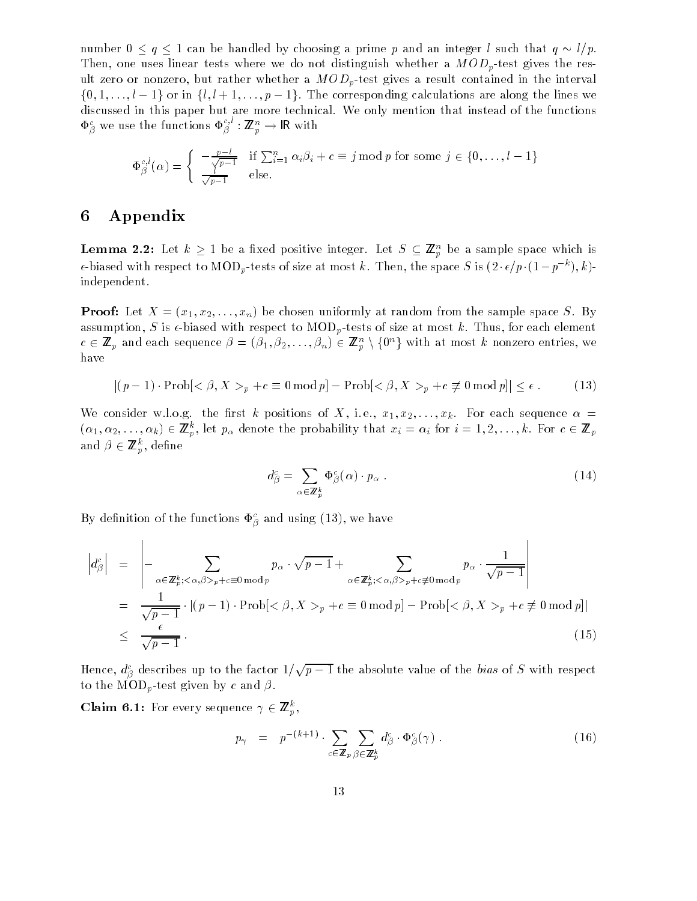number  $0 \le q \le 1$  can be handled by choosing a prime p and an integer l such that  $q \sim l/p$ . Then, one uses linear tests where we do not distinguish whether a  $MOD_p$ -test gives the result zero or nonzero, but rather whether a  $MOD_p$ -test gives a result contained in the interval  $\{0, 1, \ldots, l-1\}$  or in  $\{l, l+1, \ldots, p-1\}$ . The corresponding calculations are along the lines we discussed in this paper but are more technical. We only mention that instead of the functions  $\Phi_{\beta}^{\circ}$  we use the functions  $\Phi_{\beta}^{\circ}$  :  $\mathbb{Z}_p^{\circ\circ}\to$  IK with

$$
\Phi_{\beta}^{c,l}(\alpha) = \begin{cases}\n-\frac{p-l}{\sqrt{p-1}} & \text{if } \sum_{i=1}^{n} \alpha_i \beta_i + c \equiv j \bmod p \text{ for some } j \in \{0, \ldots, l-1\} \\
\frac{1}{\sqrt{p-1}} & \text{else.} \n\end{cases}
$$

# 6 Appendix

 $\overline{1}$ 

**Lemma 2.2:** Let  $\kappa \geq 1$  be a fixed positive integer. Let  $S \subseteq \mathbb{Z}_p^n$  be a sample space which is  $\epsilon$ -biased with respect to MOD<sub>p</sub>-tests of size at most k . Then, the space S is (2  $\epsilon/p$  (1 – p  $^{-}$  ), k)independent.

**Proof:** Let  $X = (x_1, x_2, \ldots, x_n)$  be chosen uniformly at random from the sample space S. By assumption, S is  $\epsilon$ -biased with respect to MOD<sub>p</sub>-tests of size at most k. Thus, for each element  $c \in \mathbf{Z}_p$  and each sequence  $\rho = (\rho_1, \rho_2, \ldots, \rho_n) \in \mathbf{Z}_p \setminus \{0\}$  with at most k nonzero entries, we have

$$
|(p-1)\cdot \operatorname{Prob}[<\beta, X>_{p}+c\equiv 0 \bmod p]-\operatorname{Prob}[<\beta, X>_{p}+c \not\equiv 0 \bmod p] \leq \epsilon.
$$
 (13)

We consider w.l.o.g. the first k positions of X, i.e.,  $x_1, x_2, \ldots, x_k$ . For each sequence  $\alpha =$  $(\alpha_1,\alpha_2,\ldots,\alpha_k)\in \mathbb{Z}_p^{\times},$  let  $p_{\alpha}$  denote the probability that  $x_i=\alpha_i$  for  $i=1,2,\ldots,k.$  For  $c\in \mathbb{Z}_p$ and  $p \in \mathbb{Z}_p^r$ , denne

$$
d_{\beta}^{c} = \sum_{\alpha \in \mathbb{Z}_{p}^{k}} \Phi_{\beta}^{c}(\alpha) \cdot p_{\alpha} . \qquad (14)
$$

By definition of the functions  $\Phi_{\beta}^c$  and using (13), we have

$$
\begin{aligned}\n\left| d_{\beta}^{c} \right| &= \left| -\sum_{\alpha \in \mathbb{Z}_{p}^{k}; < \alpha, \beta > p+c \equiv 0 \bmod p} p_{\alpha} \cdot \sqrt{p-1} + \sum_{\alpha \in \mathbb{Z}_{p}^{k}; < \alpha, \beta > p+c \not\equiv 0 \bmod p} p_{\alpha} \cdot \frac{1}{\sqrt{p-1}} \right| \\
&= \frac{1}{\sqrt{p-1}} \cdot \left| (p-1) \cdot \text{Prob} \right| < \beta, X >_{p} + c \equiv 0 \bmod p \right] - \text{Prob} \left| < \beta, X >_{p} + c \not\equiv 0 \bmod p \right| \\
&\le \frac{\epsilon}{\sqrt{p-1}}.\n\end{aligned} \tag{15}
$$

Hence,  $d^c_{\beta}$  describes up to the factor  $1/\sqrt{p-1}$  the absolute value of the *bias* of  $S$  with respect to the  $\text{MOD}_p$ -test given by c and  $\beta$ .

Claim 6.1: For every sequence  $\gamma \in \mathbb{Z}_p$ ,

$$
p_{\gamma} = p^{-(k+1)} \cdot \sum_{c \in \mathbb{Z}_p} \sum_{\beta \in \mathbb{Z}_p^k} d_{\beta}^c \cdot \Phi_{\beta}^c(\gamma).
$$
 (16)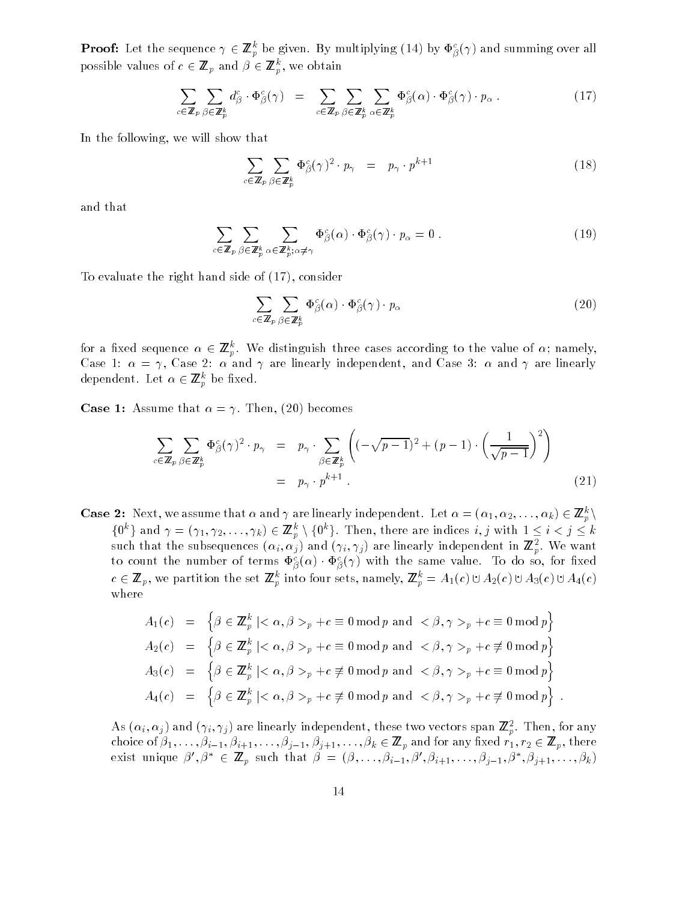**Proof:** Let the sequence  $\gamma \in \mathbb{Z}_p$  be given. By multiplying (14) by  $\Psi_\beta(\gamma)$  and summing over all possible values of  $c \in \mathbb{Z}_p$  and  $\rho \in \mathbb{Z}_p$ , we obtain

$$
\sum_{c \in \mathbb{Z}_p} \sum_{\beta \in \mathbb{Z}_p^k} d_{\beta}^c \cdot \Phi_{\beta}^c(\gamma) = \sum_{c \in \mathbb{Z}_p} \sum_{\beta \in \mathbb{Z}_p^k} \sum_{\alpha \in \mathbb{Z}_p^k} \Phi_{\beta}^c(\alpha) \cdot \Phi_{\beta}^c(\gamma) \cdot p_{\alpha} . \qquad (17)
$$

In the following, we will show that

$$
\sum_{c \in \mathbb{Z}_p} \sum_{\beta \in \mathbb{Z}_p^k} \Phi_{\beta}^c(\gamma)^2 \cdot p_{\gamma} = p_{\gamma} \cdot p^{k+1}
$$
 (18)

and that

$$
\sum_{c \in \mathbb{Z}_p} \sum_{\beta \in \mathbb{Z}_p^k} \sum_{\alpha \in \mathbb{Z}_p^k; \alpha \neq \gamma} \Phi_{\beta}^c(\alpha) \cdot \Phi_{\beta}^c(\gamma) \cdot p_{\alpha} = 0 \tag{19}
$$

To evaluate the right hand side of (17), consider

$$
\sum_{c \in \mathbb{Z}_p} \sum_{\beta \in \mathbb{Z}_p^k} \Phi_{\beta}^c(\alpha) \cdot \Phi_{\beta}^c(\gamma) \cdot p_{\alpha} \tag{20}
$$

for a fixed sequence  $\alpha \in \mathbb{Z}_p^{\times}$ . We distinguish three cases according to the value of  $\alpha$ ; hallely, Case 1:  $\alpha = \gamma$ , Case 2:  $\alpha$  and  $\gamma$  are linearly independent, and Case 3:  $\alpha$  and  $\gamma$  are linearly аерепаеш. Let  $\alpha \in \textbf{\textit{z}}_p$  be пхеа.

**Case 1:** Assume that  $\alpha = \gamma$ . Then, (20) becomes

$$
\sum_{c \in \mathbb{Z}_p} \sum_{\beta \in \mathbb{Z}_p^k} \Phi_{\beta}^c(\gamma)^2 \cdot p_{\gamma} = p_{\gamma} \cdot \sum_{\beta \in \mathbb{Z}_p^k} \left( (-\sqrt{p-1})^2 + (p-1) \cdot \left( \frac{1}{\sqrt{p-1}} \right)^2 \right)
$$
  
=  $p_{\gamma} \cdot p^{k+1}$ . (21)

**Case 2:** Next, we assume that  $\alpha$  and  $\gamma$  are infearly independent. Let  $\alpha = (\alpha_1, \alpha_2, \ldots, \alpha_k) \in \mathbb{Z}_p^{\times} \setminus \mathbb{Z}_p^{\times}$  $\{0, 1, 2, \ldots, \gamma_k\} \in \mathbb{Z}_p^{\times} \setminus \{0, 1, 2, \ldots, k\}$ . Then, there are indices  $i, j$  with  $1 \leq i \leq j \leq k$ such that the subsequences  $(\alpha_i, \alpha_j)$  and  $(\gamma_i, \gamma_j)$  are linearly independent in  $\mathbf{z}_r$ . We want to count the number of terms  $\Phi_{\beta}^c(\alpha) \cdot \Phi_{\beta}^c(\gamma)$  with the same value. To do so, for fixed  $c \in \mathbf{Z}_p$ , we partition the set  $\mathbf{Z}_p$  into four sets, namely,  $\mathbf{Z}_p = A_1(c) \cup A_2(c) \cup A_3(c) \cup A_4(c)$ where

$$
A_1(c) = \left\{ \beta \in \mathbb{Z}_p^k \mid <\alpha, \beta>_p + c \equiv 0 \bmod p \text{ and } <\beta, \gamma>_p + c \equiv 0 \bmod p \right\}
$$
  
\n
$$
A_2(c) = \left\{ \beta \in \mathbb{Z}_p^k \mid <\alpha, \beta>_p + c \equiv 0 \bmod p \text{ and } <\beta, \gamma>_p + c \not\equiv 0 \bmod p \right\}
$$
  
\n
$$
A_3(c) = \left\{ \beta \in \mathbb{Z}_p^k \mid <\alpha, \beta>_p + c \not\equiv 0 \bmod p \text{ and } <\beta, \gamma>_p + c \equiv 0 \bmod p \right\}
$$
  
\n
$$
A_4(c) = \left\{ \beta \in \mathbb{Z}_p^k \mid <\alpha, \beta>_p + c \not\equiv 0 \bmod p \text{ and } <\beta, \gamma>_p + c \not\equiv 0 \bmod p \right\}.
$$

As  $(\alpha_i, \alpha_j)$  and  $(\gamma_i, \gamma_j)$  are linearly independent, these two vectors span  $\pmb{\omega}_p^*$ . Then, for any choice of  $\beta_1,\ldots,\beta_{i-1},\beta_{i+1},\ldots,\beta_{j-1},\beta_{j+1},\ldots,\beta_k\in\mathbb{Z}_p$  and for any fixed  $r_1,r_2\in\mathbb{Z}_p$ , there exist unique  $p_i, p_j \in \mathbb{Z}_p$  such that  $p_j = (p, \ldots, p_{i-1}, p_j, p_{i+1}, \ldots, p_{i-1}, p_j, p_{i+1}, \ldots, p_k)$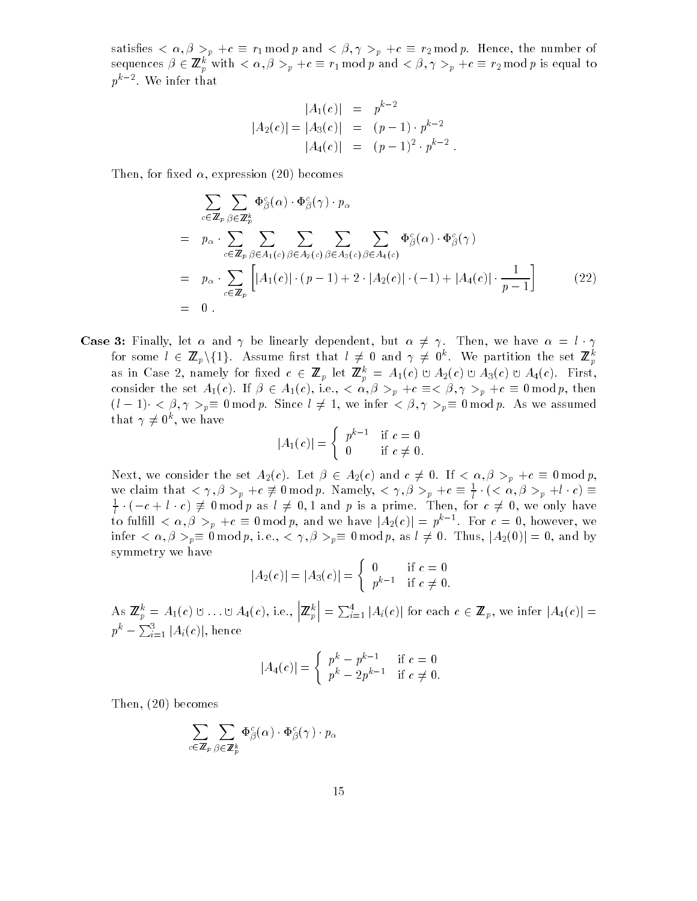satisfies  $\langle \alpha, \beta \rangle_p + c \equiv r_1 \mod p$  and  $\langle \beta, \gamma \rangle_p + c \equiv r_2 \mod p$ . Hence, the number of sequences  $p \in \mathbb{Z}_p^{\times}$  with  $\langle \alpha, \beta \rangle_p + c = r_1 \bmod p$  and  $\langle \beta, \gamma \rangle_p + c = r_2 \bmod p$  is equal to  $p^{\ldots}$  - . We infer that

$$
|A_1(c)| = p^{k-2}
$$
  
\n
$$
|A_2(c)| = |A_3(c)| = (p-1) \cdot p^{k-2}
$$
  
\n
$$
|A_4(c)| = (p-1)^2 \cdot p^{k-2}
$$

Then, for fixed  $\alpha$ , expression (20) becomes

$$
\sum_{c \in \mathbb{Z}_p} \sum_{\beta \in \mathbb{Z}_p^k} \Phi_{\beta}^c(\alpha) \cdot \Phi_{\beta}^c(\gamma) \cdot p_{\alpha}
$$
\n
$$
= p_{\alpha} \cdot \sum_{c \in \mathbb{Z}_p} \sum_{\beta \in A_1(c)} \sum_{\beta \in A_2(c)} \sum_{\beta \in A_3(c)} \sum_{\beta \in A_4(c)} \Phi_{\beta}^c(\alpha) \cdot \Phi_{\beta}^c(\gamma)
$$
\n
$$
= p_{\alpha} \cdot \sum_{c \in \mathbb{Z}_p} \left[ |A_1(c)| \cdot (p-1) + 2 \cdot |A_2(c)| \cdot (-1) + |A_4(c)| \cdot \frac{1}{p-1} \right] \tag{22}
$$
\n
$$
= 0.
$$

**Case 3:** Finally, let  $\alpha$  and  $\gamma$  be linearly dependent, but  $\alpha \neq \gamma$ . Then, we have  $\alpha = l \cdot \gamma$ for some  $\iota \in \mathbb{Z}_p \setminus \{\bot\}$ . Assume first that  $\iota \neq 0$  and  $\gamma \neq 0^+$ . We partition the set  $\mathbb{Z}_p^+$ <u>produced</u> and the product of the product of the product of the product of the product of the product of the product of the product of the product of the product of the product of the product of the product of the product as in Case 2, namely for fixed  $c \in \mathbb{Z}_p$  for  $\mathbb{Z}_p^{\times} = A_1(c) \cup A_2(c) \cup A_3(c) \cup A_4(c)$ . First, consider the set  $A_1(c)$ . If  $\beta \in A_1(c)$ , i.e.,  $\langle \alpha, \beta \rangle_p + c \equiv \langle \beta, \gamma \rangle_p + c \equiv 0 \mod p$ , then  $(l-1) < \beta, \gamma >_p \equiv 0 \bmod p$ . Since  $l \neq 1$ , we infer  $\langle \beta, \gamma \rangle_p \equiv 0 \bmod p$ . As we assumed  $\tan \gamma \neq 0$ , we have

$$
|A_1(c)| = \begin{cases} p^{k-1} & \text{if } c = 0 \\ 0 & \text{if } c \neq 0. \end{cases}
$$

Next, we consider the set  $A_2(c)$ . Let  $\beta \in A_2(c)$  and  $c \neq 0$ . If  $\langle \alpha, \beta \rangle_p + c \equiv 0 \bmod p$ , we claim that  $\langle \gamma, \beta \rangle_p + c \not\equiv 0 \mod p$ . Namely,  $\langle \gamma, \beta \rangle_p + c \equiv \frac{1}{l} \cdot (\langle \alpha, \beta \rangle_p + i \cdot c) \equiv$  $\frac{1}{l} \cdot (-c + l \cdot c) \neq 0$  mod p as  $l \neq 0, 1$  and p is a prime. Then, for  $c \neq 0$ , we only have to fulfiled  $\alpha, \beta >_p + c \equiv 0 \mod p$ , and we have  $|A_2(c)| = p^{\alpha-1}$ . For  $c = 0$ , however, we infer  $\langle \alpha, \beta \rangle_p \equiv 0 \mod p$ , i.e.,  $\langle \gamma, \beta \rangle_p \equiv 0 \mod p$ , as  $l \neq 0$ . Thus,  $|A_2(0)| = 0$ , and by symmetry we have

$$
|A_2(c)| = |A_3(c)| = \begin{cases} 0 & \text{if } c = 0 \\ p^{k-1} & \text{if } c \neq 0. \end{cases}
$$

(

As  $\mathbb{Z}_p^{\times} = A_1(c) \cup ... \cup A_4(c),$  i.e., |*i*  $\left| \mathbf{Z}_p^k \right| =$  $\vert = \sum_{i=1}^4 \vert A_i(c) \vert$  for each  $c \in \mathbb{Z}_p$ , we infer  $\vert A_4(c) \vert =$  $p^{\kappa} - \sum_{i=1}^3 |A_i(c)|,$  hence

$$
|A_4(c)| = \begin{cases} p^k - p^{k-1} & \text{if } c = 0\\ p^k - 2p^{k-1} & \text{if } c \neq 0. \end{cases}
$$

Then, (20) becomes

$$
\sum_{c\in\mathbb{Z}_p}\sum_{\beta\in\mathbb{Z}_p^k}\Phi_{\beta}^c(\alpha)\cdot\Phi_{\beta}^c(\gamma)\cdot p_{\alpha}
$$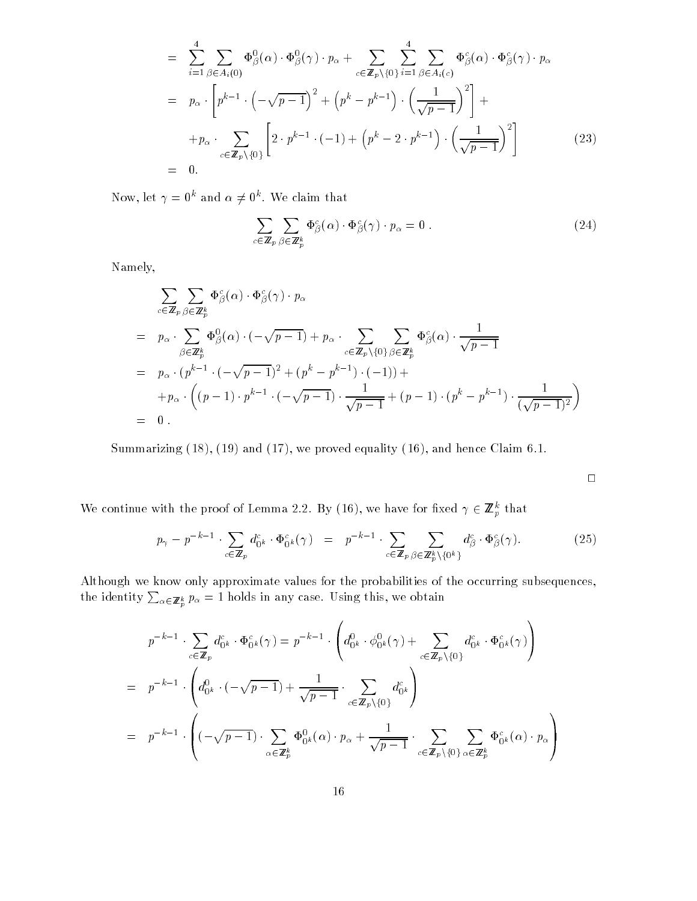$$
= \sum_{i=1}^{4} \sum_{\beta \in A_i(0)} \Phi_{\beta}^{0}(\alpha) \cdot \Phi_{\beta}^{0}(\gamma) \cdot p_{\alpha} + \sum_{c \in \mathbb{Z}_p \setminus \{0\}} \sum_{i=1}^{4} \sum_{\beta \in A_i(c)} \Phi_{\beta}^{c}(\alpha) \cdot \Phi_{\beta}^{c}(\gamma) \cdot p_{\alpha}
$$
  
\n
$$
= p_{\alpha} \cdot \left[ p^{k-1} \cdot \left( -\sqrt{p-1} \right)^{2} + \left( p^{k} - p^{k-1} \right) \cdot \left( \frac{1}{\sqrt{p-1}} \right)^{2} \right] +
$$
  
\n
$$
+ p_{\alpha} \cdot \sum_{c \in \mathbb{Z}_p \setminus \{0\}} \left[ 2 \cdot p^{k-1} \cdot (-1) + \left( p^{k} - 2 \cdot p^{k-1} \right) \cdot \left( \frac{1}{\sqrt{p-1}} \right)^{2} \right]
$$
  
\n
$$
= 0.
$$
 (23)  
\n(23)

Now, let  $\gamma = 0^{\circ}$  and  $\alpha \neq 0^{\circ}$ . We claim that

$$
\sum_{c \in \mathbb{Z}_p} \sum_{\beta \in \mathbb{Z}_p^k} \Phi_{\beta}^c(\alpha) \cdot \Phi_{\beta}^c(\gamma) \cdot p_{\alpha} = 0 \tag{24}
$$

Namely,

$$
\sum_{c \in \mathbb{Z}_p} \sum_{\beta \in \mathbb{Z}_p^k} \Phi_{\beta}^c(\alpha) \cdot \Phi_{\beta}^c(\gamma) \cdot p_{\alpha}
$$
\n
$$
= p_{\alpha} \cdot \sum_{\beta \in \mathbb{Z}_p^k} \Phi_{\beta}^0(\alpha) \cdot (-\sqrt{p-1}) + p_{\alpha} \cdot \sum_{c \in \mathbb{Z}_p \setminus \{0\}} \sum_{\beta \in \mathbb{Z}_p^k} \Phi_{\beta}^c(\alpha) \cdot \frac{1}{\sqrt{p-1}}
$$
\n
$$
= p_{\alpha} \cdot (p^{k-1} \cdot (-\sqrt{p-1})^2 + (p^k - p^{k-1}) \cdot (-1)) +
$$
\n
$$
+ p_{\alpha} \cdot \left( (p-1) \cdot p^{k-1} \cdot (-\sqrt{p-1}) \cdot \frac{1}{\sqrt{p-1}} + (p-1) \cdot (p^k - p^{k-1}) \cdot \frac{1}{(\sqrt{p-1})^2} \right)
$$
\n
$$
= 0.
$$

Summarizing (18), (19) and (17), we proved equality (16), and hence Claim 6.1.

 $\Box$ 

We continue with the proof of Lemma 2.2. By (10), we have for fixed  $\gamma \in \mathbb{Z}_p$  that

$$
p_{\gamma} - p^{-k-1} \cdot \sum_{c \in \mathbb{Z}_p} d_{0^k}^c \cdot \Phi_{0^k}^c(\gamma) = p^{-k-1} \cdot \sum_{c \in \mathbb{Z}_p} \sum_{\beta \in \mathbb{Z}_p^k \setminus \{0^k\}} d_{\beta}^c \cdot \Phi_{\beta}^c(\gamma).
$$
 (25)

Although we know only approximate values for the probabilities of the occurring subsequences, the identity  $\sum_{\alpha\in\mathbb{Z}_p^k}p_\alpha=1$  holds in any case. Using this, we obtain

$$
p^{-k-1} \cdot \sum_{c \in \mathbb{Z}_p} d_{0^k}^c \cdot \Phi_{0^k}^c(\gamma) = p^{-k-1} \cdot \left( d_{0^k}^0 \cdot \phi_{0^k}^0(\gamma) + \sum_{c \in \mathbb{Z}_p \setminus \{0\}} d_{0^k}^c \cdot \Phi_{0^k}^c(\gamma) \right)
$$
  
=  $p^{-k-1} \cdot \left( d_{0^k}^0 \cdot (-\sqrt{p-1}) + \frac{1}{\sqrt{p-1}} \cdot \sum_{c \in \mathbb{Z}_p \setminus \{0\}} d_{0^k}^c \right)$   
=  $p^{-k-1} \cdot \left( (-\sqrt{p-1}) \cdot \sum_{\alpha \in \mathbb{Z}_p^k} \Phi_{0^k}^0(\alpha) \cdot p_{\alpha} + \frac{1}{\sqrt{p-1}} \cdot \sum_{c \in \mathbb{Z}_p \setminus \{0\}} \sum_{\alpha \in \mathbb{Z}_p^k} \Phi_{0^k}^c(\alpha) \cdot p_{\alpha} \right)$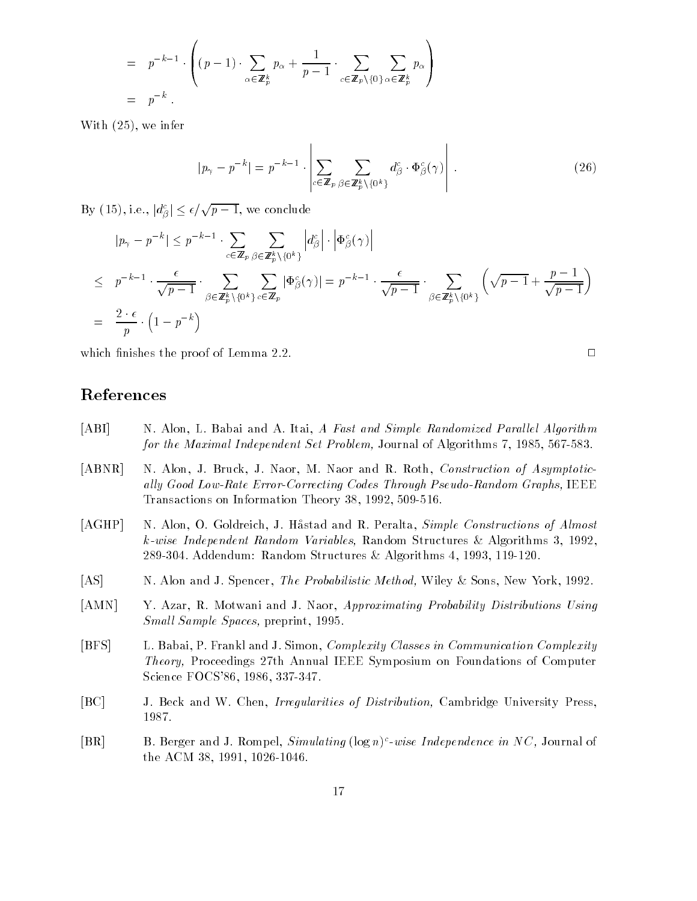$$
= p^{-k-1} \cdot \left( (p-1) \cdot \sum_{\alpha \in \mathbb{Z}_p^k} p_{\alpha} + \frac{1}{p-1} \cdot \sum_{c \in \mathbb{Z}_p \backslash \{0\}} \sum_{\alpha \in \mathbb{Z}_p^k} p_{\alpha} \right)
$$
  
=  $p^{-k}$ .

 $\mathbf{I}$ 

With (25), we infer

$$
|p_{\gamma} - p^{-k}| = p^{-k-1} \cdot \left| \sum_{c \in \mathbb{Z}_p} \sum_{\beta \in \mathbb{Z}_p^k \setminus \{0^k\}} d_{\beta}^c \cdot \Phi_{\beta}^c(\gamma) \right| \,. \tag{26}
$$

By  $(15)$ , i.e.,  $|d^c_{\beta}| \leq \epsilon/\sqrt{p-1}$ , we conclude

$$
|p_{\gamma} - p^{-k}| \leq p^{-k-1} \cdot \sum_{c \in \mathbb{Z}_p} \sum_{\beta \in \mathbb{Z}_p^k \setminus \{0^k\}} \left| d_{\beta}^c \right| \cdot \left| \Phi_{\beta}^c(\gamma) \right|
$$
  
\n
$$
\leq p^{-k-1} \cdot \frac{\epsilon}{\sqrt{p-1}} \cdot \sum_{\beta \in \mathbb{Z}_p^k \setminus \{0^k\}} \sum_{c \in \mathbb{Z}_p} |\Phi_{\beta}^c(\gamma)| = p^{-k-1} \cdot \frac{\epsilon}{\sqrt{p-1}} \cdot \sum_{\beta \in \mathbb{Z}_p^k \setminus \{0^k\}} \left( \sqrt{p-1} + \frac{p-1}{\sqrt{p-1}} \right)
$$
  
\n
$$
= \frac{2 \cdot \epsilon}{p} \cdot \left( 1 - p^{-k} \right)
$$

which finishes the proof of Lemma 2.2.  $\Box$ 

#### References

- [ABI] N. Alon, L. Babai and A. Itai, A Fast and Simple Randomized Parallel Algorithm for the Maximal Independent Set Problem, Journal of Algorithms 7, 1985, 567-583.
- [ABNR] N. Alon, J. Bruck, J. Naor, M. Naor and R. Roth, Construction of Asymptotically Good Low-Rate Error-Correcting Codes Through Pseudo-Random Graphs, IEEE Transactions on Information Theory 38, 1992, 509-516.
- [AGHP] N. Alon, O. Goldreich, J. Håstad and R. Peralta, Simple Constructions of Almost k-wise Independent Random Variables, Random Structures & Algorithms 3, 1992, 289-304. Addendum: Random Structures & Algorithms 4, 1993, 119-120.
- [AS] N. Alon and J. Spencer, *The Probabilistic Method*, Wiley & Sons, New York, 1992.
- [AMN] Y. Azar, R. Motwani and J. Naor, Approximating Probability Distributions Using Small Sample Spaces, preprint, 1995.
- [BFS] L. Babai, P. Frankl and J. Simon, Complexity Classes in Communication Complexity Theory, Proceedings 27th Annual IEEE Symposium on Foundations of Computer Science FOCS'86, 1986, 337-347.
- [BC] J. Beck and W. Chen, Irregularities of Distribution, Cambridge University Press, 1987.
- $|\text{D}\,\text{R}|$  b. Derger and J. Rompel, Simulating (log n) -wise Independence in NC, Journal of the ACM 38, 1991, 1026-1046.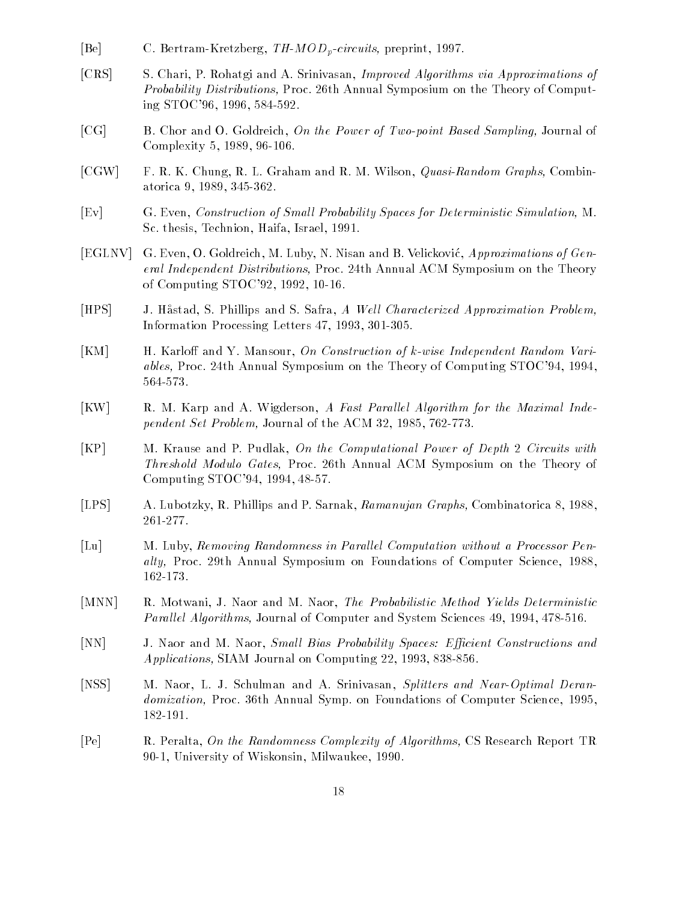- [Be] C. Bertram-Kretzberg, TH-MOD<sub>p</sub>-circuits, preprint, 1997.
- [CRS] S. Chari, P. Rohatgi and A. Srinivasan, Improved Algorithms via Approximations of Probability Distributions, Proc. 26th Annual Symposium on the Theory of Computing STOC'96, 1996, 584-592.
- [CG] B. Chor and O. Goldreich, On the Power of Two-point Based Sampling, Journal of Complexity 5, 1989, 96-106.
- [CGW] F. R. K. Chung, R. L. Graham and R. M. Wilson, *Quasi-Random Graphs*, Combinatorica 9, 1989, 345-362.
- [Ev] G. Even, Construction of Smal l Probability Spaces for Deterministic Simulation, M. Sc. thesis, Technion, Haifa, Israel, 1991.
- [EGLNV] G. Even, O. Goldreich, M. Luby, N. Nisan and B. Velickovic, Approximations of General Independent Distributions, Proc. 24th Annual ACM Symposium on the Theory of Computing STOC'92, 1992, 10-16.
- [HPS] J. Håstad, S. Phillips and S. Safra, A Well Characterized Approximation Problem, Information Processing Letters 47, 1993, 301-305.
- [KM] H. Karloff and Y. Mansour, On Construction of k-wise Independent Random Variables, Proc. 24th Annual Symposium on the Theory of Computing STOC'94, 1994, 564-573.
- [KW] R. M. Karp and A. Wigderson, A Fast Parallel Algorithm for the Maximal Independent Set Problem, Journal of the ACM 32, 1985, 762-773.
- [KP] M. Krause and P. Pudlak, On the Computational Power of Depth 2 Circuits with Threshold Modulo Gates, Proc. 26th Annual ACM Symposium on the Theory of Computing STOC'94, 1994, 48-57.
- [LPS] A. Lubotzky, R. Phillips and P. Sarnak, Ramanujan Graphs, Combinatorica 8, 1988, 261-277.
- [Lu] M. Luby, Removing Randomness in Parallel Computation without a Processor Penalty, Proc. 29th Annual Symposium on Foundations of Computer Science, 1988, 162-173.
- [MNN] R. Motwani, J. Naor and M. Naor, *The Probabilistic Method Yields Deterministic* Parallel Algorithms, Journal of Computer and System Sciences 49, 1994, 478-516.
- [NN] J. Naor and M. Naor, Small Bias Probability Spaces: Efficient Constructions and Applications, SIAM Journal on Computing 22, 1993, 838-856.
- [NSS] M. Naor, L. J. Schulman and A. Srinivasan, Splitters and Near-Optimal Derandomization, Proc. 36th Annual Symp. on Foundations of Computer Science, 1995, 182-191.
- [Pe] R. Peralta, On the Randomness Complexity of Algorithms, CS Research Report TR 90-1, University of Wiskonsin, Milwaukee, 1990.